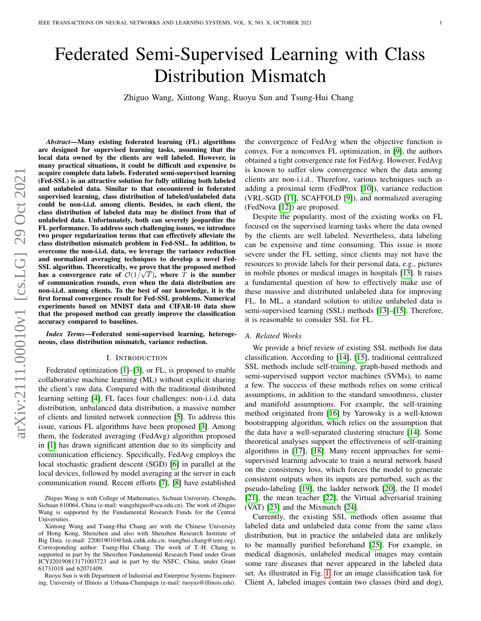# Federated Semi-Supervised Learning with Class Distribution Mismatch

Zhiguo Wang, Xintong Wang, Ruoyu Sun and Tsung-Hui Chang

*Abstract*—Many existing federated learning (FL) algorithms are designed for supervised learning tasks, assuming that the local data owned by the clients are well labeled. However, in many practical situations, it could be difficult and expensive to acquire complete data labels. Federated semi-supervised learning (Fed-SSL) is an attractive solution for fully utilizing both labeled and unlabeled data. Similar to that encountered in federated supervised learning, class distribution of labeled/unlabeled data could be non-i.i.d. among clients. Besides, in each client, the class distribution of labeled data may be distinct from that of unlabeled data. Unfortunately, both can severely jeopardize the FL performance. To address such challenging issues, we introduce two proper regularization terms that can effectively alleviate the class distribution mismatch problem in Fed-SSL. In addition, to overcome the non-i.i.d. data, we leverage the variance reduction and normalized averaging techniques to develop a novel Fed-SSL algorithm. Theoretically, we prove that the proposed method has a convergence rate of  $\mathcal{O}(1/\sqrt{T})$ , where T is the number of communication rounds, even when the data distribution are non-i.i.d. among clients. To the best of our knowledge, it is the first formal convergence result for Fed-SSL problems. Numerical experiments based on MNIST data and CIFAR-10 data show that the proposed method can greatly improve the classification accuracy compared to baselines.

*Index Terms*—Federated semi-supervised learning, heterogeneous, class distribution mismatch, variance reduction.

#### I. INTRODUCTION

Federated optimization [\[1\]](#page-12-0)–[\[3\]](#page-12-1), or FL, is proposed to enable collaborative machine learning (ML) without explicit sharing the client's raw data. Compared with the traditional distributed learning setting [\[4\]](#page-13-0), FL faces four challenges: non-i.i.d. data distribution, unbalanced data distribution, a massive number of clients and limited network connection [\[5\]](#page-13-1). To address this issue, various FL algorithms have been proposed [\[3\]](#page-12-1). Among them, the federated averaging (FedAvg) algorithm proposed in [\[1\]](#page-12-0) has drawn significant attention due to its simplicity and communication efficiency. Specifically, FedAvg employs the local stochastic gradient descent (SGD) [\[6\]](#page-13-2) in parallel at the local devices, followed by model averaging at the server in each communication round. Recent efforts [\[7\]](#page-13-3), [\[8\]](#page-13-4) have established

Ruoyu Sun is with Department of Industrial and Enterprise Systems Engineering, University of Illinois at Urbana-Champaign (e-mail: ruoyus@illinois.edu). the convergence of FedAvg when the objective function is convex. For a nonconvex FL optimization, in [\[9\]](#page-13-5), the authors obtained a tight convergence rate for FedAvg. However, FedAvg is known to suffer slow convergence when the data among clients are non-i.i.d.. Therefore, various techniques such as adding a proximal term (FedProx [\[10\]](#page-13-6)), variance reduction (VRL-SGD [\[11\]](#page-13-7), SCAFFOLD [\[9\]](#page-13-5)), and normalized averaging (FedNova [\[12\]](#page-13-8)) are proposed.

Despite the popularity, most of the existing works on FL focused on the supervised learning tasks where the data owned by the clients are well labeled. Nevertheless, data labeling can be expensive and time consuming. This issue is more severe under the FL setting, since clients may not have the resources to provide labels for their personal data, e.g., pictures in mobile phones or medical images in hospitals [\[13\]](#page-13-9). It raises a fundamental question of how to effectively make use of these massive and distributed unlabeled data for improving FL. In ML, a standard solution to utilize unlabeled data is semi-supervised learning (SSL) methods [\[13\]](#page-13-9)–[\[15\]](#page-13-10). Therefore, it is reasonable to consider SSL for FL.

#### *A. Related Works*

We provide a brief review of existing SSL methods for data classification. According to [\[14\]](#page-13-11), [\[15\]](#page-13-10), traditional centralized SSL methods include self-training, graph-based methods and semi-supervised support vector machines (SVMs), to name a few. The success of these methods relies on some critical assumptions, in addition to the standard smoothness, cluster and manifold assumptions. For example, the self-training method originated from [\[16\]](#page-13-12) by Yarowsky is a well-known bootstrapping algorithm, which relies on the assumption that the data have a well-separated clustering structure [\[14\]](#page-13-11). Some theoretical analyses support the effectiveness of self-training algorithms in [\[17\]](#page-13-13), [\[18\]](#page-13-14). Many recent approaches for semisupervised learning advocate to train a neural network based on the consistency loss, which forces the model to generate consistent outputs when its inputs are perturbed, such as the pseudo-labeling [\[19\]](#page-13-15), the ladder network [\[20\]](#page-13-16), the Π model [\[21\]](#page-13-17), the mean teacher [\[22\]](#page-13-18), the Virtual adversarial training (VAT) [\[23\]](#page-13-19) and the Mixmatch [\[24\]](#page-13-20).

Currently, the existing SSL methods often assume that labeled data and unlabeled data come from the same class distribution, but in practice the unlabeled data are unlikely to be manually purified beforehand [\[25\]](#page-13-21). For example, in medical diagnosis, unlabeled medical images may contain some rare diseases that never appeared in the labeled data set. As illustrated in Fig. [1,](#page-1-0) for an image classification task for Client A, labeled images contain two classes (bird and dog),

Zhiguo Wang is with College of Mathematics, Sichuan University, Chengdu, Sichuan 610064, China (e-mail: wangzhiguo@scu.edu.cn). The work of Zhiguo Wang is supported by the Fundamental Research Funds for the Central Universities.

Xintong Wang and Tsung-Hui Chang are with the Chinese University of Hong Kong, Shenzhen and also with Shenzhen Research Institute of Big Data. (e-mail: 220019010@link.cuhk.edu.cn; tsunghui.chang@ieee.org). Corresponding author: Tsung-Hui Chang. The work of T.-H. Chang is supported in part by the Shenzhen Fundamental Research Fund under Grant JCYJ20190813171003723 and in part by the NSFC, China, under Grant 61731018 and 62071409.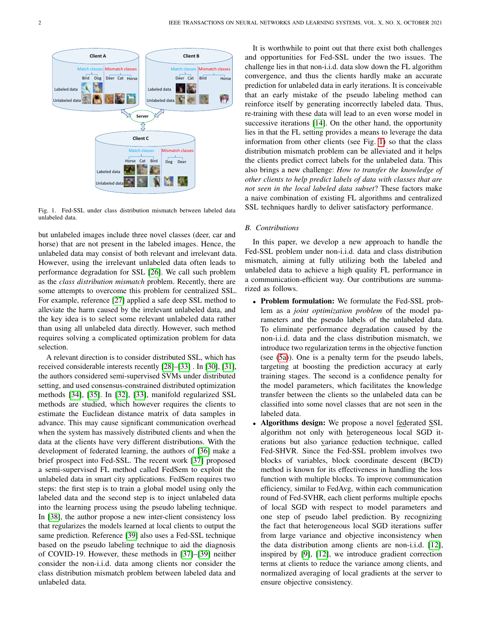

<span id="page-1-0"></span>Fig. 1. Fed-SSL under class distribution mismatch between labeled data unlabeled data.

but unlabeled images include three novel classes (deer, car and horse) that are not present in the labeled images. Hence, the unlabeled data may consist of both relevant and irrelevant data. However, using the irrelevant unlabeled data often leads to performance degradation for SSL [\[26\]](#page-13-22). We call such problem as the *class distribution mismatch* problem. Recently, there are some attempts to overcome this problem for centralized SSL. For example, reference [\[27\]](#page-13-23) applied a safe deep SSL method to alleviate the harm caused by the irrelevant unlabeled data, and the key idea is to select some relevant unlabeled data rather than using all unlabeled data directly. However, such method requires solving a complicated optimization problem for data selection.

A relevant direction is to consider distributed SSL, which has received considerable interests recently [\[28\]](#page-13-24)–[\[33\]](#page-13-25) . In [\[30\]](#page-13-26), [\[31\]](#page-13-27), the authors considered semi-supervised SVMs under distributed setting, and used consensus-constrained distributed optimization methods [\[34\]](#page-13-28), [\[35\]](#page-13-29). In [\[32\]](#page-13-30), [\[33\]](#page-13-25), manifold regularized SSL methods are studied, which however requires the clients to estimate the Euclidean distance matrix of data samples in advance. This may cause significant communication overhead when the system has massively distributed clients and when the data at the clients have very different distributions. With the development of federated learning, the authors of [\[36\]](#page-13-31) make a brief prospect into Fed-SSL. The recent work [\[37\]](#page-13-32) proposed a semi-supervised FL method called FedSem to exploit the unlabeled data in smart city applications. FedSem requires two steps: the first step is to train a global model using only the labeled data and the second step is to inject unlabeled data into the learning process using the pseudo labeling technique. In [\[38\]](#page-13-33), the author propose a new inter-client consistency loss that regularizes the models learned at local clients to output the same prediction. Reference [\[39\]](#page-13-34) also uses a Fed-SSL technique based on the pseudo labeling technique to aid the diagnosis of COVID-19. However, these methods in [\[37\]](#page-13-32)–[\[39\]](#page-13-34) neither consider the non-i.i.d. data among clients nor consider the class distribution mismatch problem between labeled data and unlabeled data.

It is worthwhile to point out that there exist both challenges and opportunities for Fed-SSL under the two issues. The challenge lies in that non-i.i.d. data slow down the FL algorithm convergence, and thus the clients hardly make an accurate prediction for unlabeled data in early iterations. It is conceivable that an early mistake of the pseudo labeling method can reinforce itself by generating incorrectly labeled data. Thus, re-training with these data will lead to an even worse model in successive iterations [\[14\]](#page-13-11). On the other hand, the opportunity lies in that the FL setting provides a means to leverage the data information from other clients (see Fig. [1\)](#page-1-0) so that the class distribution mismatch problem can be alleviated and it helps the clients predict correct labels for the unlabeled data. This also brings a new challenge: *How to transfer the knowledge of other clients to help predict labels of data with classes that are not seen in the local labeled data subset*? These factors make a naive combination of existing FL algorithms and centralized SSL techniques hardly to deliver satisfactory performance.

#### *B. Contributions*

In this paper, we develop a new approach to handle the Fed-SSL problem under non-i.i.d. data and class distribution mismatch, aiming at fully utilizing both the labeled and unlabeled data to achieve a high quality FL performance in a communication-efficient way. Our contributions are summarized as follows.

- Problem formulation: We formulate the Fed-SSL problem as a *joint optimization problem* of the model parameters and the pseudo labels of the unlabeled data. To eliminate performance degradation caused by the non-i.i.d. data and the class distribution mismatch, we introduce two regularization terms in the objective function (see [\(5a\)](#page-2-0)). One is a penalty term for the pseudo labels, targeting at boosting the prediction accuracy at early training stages. The second is a confidence penalty for the model parameters, which facilitates the knowledge transfer between the clients so the unlabeled data can be classified into some novel classes that are not seen in the labeled data.
- Algorithms design: We propose a novel federated SSL algorithm not only with heterogeneous local SGD iterations but also variance reduction technique, called Fed-SHVR. Since the Fed-SSL problem involves two blocks of variables, block coordinate descent (BCD) method is known for its effectiveness in handling the loss function with multiple blocks. To improve communication efficiency, similar to FedAvg, within each communication round of Fed-SVHR, each client performs multiple epochs of local SGD with respect to model parameters and one step of pseudo label prediction. By recognizing the fact that heterogeneous local SGD iterations suffer from large variance and objective inconsistency when the data distribution among clients are non-i.i.d. [\[12\]](#page-13-8), inspired by [\[9\]](#page-13-5), [\[12\]](#page-13-8), we introduce gradient correction terms at clients to reduce the variance among clients, and normalized averaging of local gradients at the server to ensure objective consistency.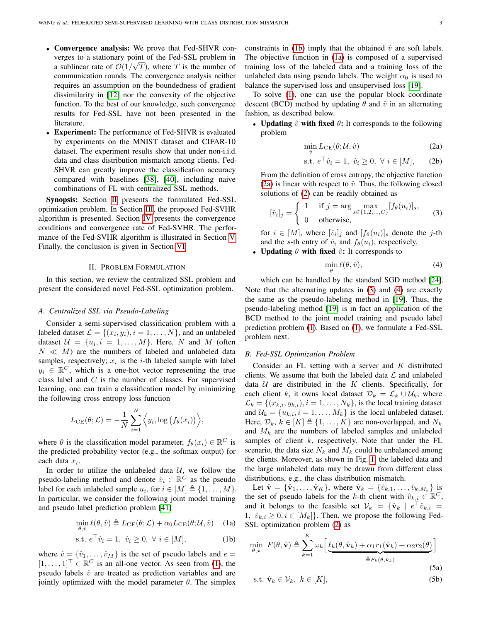- Convergence analysis: We prove that Fed-SHVR converges to a stationary point of the Fed-SSL problem in a sublinear rate of  $\mathcal{O}(1/\sqrt{T})$ , where T is the number of communication rounds. The convergence analysis neither requires an assumption on the boundedness of gradient dissimilarity in [\[12\]](#page-13-8) nor the convexity of the objective function. To the best of our knowledge, such convergence results for Fed-SSL have not been presented in the literature.
- Experiment: The performance of Fed-SHVR is evaluated by experiments on the MNIST dataset and CIFAR-10 dataset. The experiment results show that under non-i.i.d. data and class distribution mismatch among clients, Fed-SHVR can greatly improve the classification accuracy compared with baselines [\[38\]](#page-13-33), [\[40\]](#page-13-35), including naive combinations of FL with centralized SSL methods.

Synopsis: Section [II](#page-2-1) presents the formulated Fed-SSL optimization problem. In Section [III,](#page-3-0) the proposed Fed-SVHR algorithm is presented. Section [IV](#page-4-0) presents the convergence conditions and convergence rate of Fed-SVHR. The performance of the Fed-SVHR algorithm is illustrated in Section [V.](#page-5-0) Finally, the conclusion is given in Section [VI.](#page-8-0)

#### II. PROBLEM FORMULATION

<span id="page-2-1"></span>In this section, we review the centralized SSL problem and present the considered novel Fed-SSL optimization problem.

#### *A. Centralized SSL via Pseudo-Labeling*

Consider a semi-supervised classification problem with a labeled dataset  $\mathcal{L} = \{(x_i, y_i), i = 1, \dots, N\}$ , and an unlabeled dataset  $\mathcal{U} = \{u_i, i = 1, \dots, M\}$ . Here, N and M (often  $N \ll M$ ) are the numbers of labeled and unlabeled data samples, respectively;  $x_i$  is the *i*-th labeled sample with label  $y_i \in \mathbb{R}^C$ , which is a one-hot vector representing the true class label and  $C$  is the number of classes. For supervised learning, one can train a classification model by minimizing the following cross entropy loss function

$$
L_{\text{CE}}(\theta; \mathcal{L}) = -\frac{1}{N} \sum_{i=1}^{N} \langle y_i, \log (f_{\theta}(x_i)) \rangle,
$$

where  $\theta$  is the classification model parameter,  $f_{\theta}(x_i) \in \mathbb{R}^C$  is the predicted probability vector (e.g., the softmax output) for each data  $x_i$ .

In order to utilize the unlabeled data  $U$ , we follow the pseudo-labeling method and denote  $\hat{v}_i \in \mathbb{R}^C$  as the pseudo label for each unlabeled sample  $u_i$ , for  $i \in [M] \triangleq \{1, \ldots, M\}.$ In particular, we consider the following joint model training and pseudo label prediction problem [\[41\]](#page-13-36)

$$
\min_{\theta,\hat{v}} \ell(\theta,\hat{v}) \triangleq L_{\text{CE}}(\theta;\mathcal{L}) + \alpha_0 L_{\text{CE}}(\theta;\mathcal{U},\hat{v}) \quad (1a)
$$

$$
\text{s.t. } e^{\top} \hat{v}_i = 1, \ \hat{v}_i \ge 0, \ \forall \ i \in [M], \tag{1b}
$$

where  $\hat{v} = {\hat{v}_1, \dots, \hat{v}_M}$  is the set of pseudo labels and  $e =$  $[1, \ldots, 1]^\top \in \mathbb{R}^C$  is an all-one vector. As seen from [\(1\)](#page-2-0), the pseudo labels  $\hat{v}$  are treated as prediction variables and are jointly optimized with the model parameter  $\theta$ . The simplex constraints in [\(1b\)](#page-2-0) imply that the obtained  $\hat{v}$  are soft labels. The objective function in [\(1a\)](#page-2-0) is composed of a supervised training loss of the labeled data and a training loss of the unlabeled data using pseudo labels. The weight  $\alpha_0$  is used to balance the supervised loss and unsupervised loss [\[19\]](#page-13-15).

To solve [\(1\)](#page-2-0), one can use the popular block coordinate descent (BCD) method by updating  $\theta$  and  $\hat{v}$  in an alternating fashion, as described below.

• Updating  $\hat{v}$  with fixed  $\theta$ : It corresponds to the following problem

<span id="page-2-2"></span>
$$
\min_{\hat{v}} L_{\text{CE}}(\theta; \mathcal{U}, \hat{v})
$$
\n(2a)

s.t. 
$$
e^{\top} \hat{v}_i = 1
$$
,  $\hat{v}_i \ge 0$ ,  $\forall i \in [M]$ , (2b)

From the definition of cross entropy, the objective function [\(2a\)](#page-2-0) is linear with respect to  $\hat{v}$ . Thus, the following closed solutions of [\(2\)](#page-2-2) can be readily obtained as

$$
[\hat{v}_i]_j = \begin{cases} 1 & \text{if } j = \arg\max_{s \in \{1, 2, \dots, C\}} [f_\theta(u_i)]_s, \\ 0 & \text{otherwise,} \end{cases}
$$
(3)

for  $i \in [M]$ , where  $[\hat{v}_i]_j$  and  $[f_\theta(u_i)]_s$  denote the j-th and the s-th entry of  $\hat{v}_i$  and  $f_\theta(u_i)$ , respectively.

# • Updating  $\theta$  with fixed  $\hat{v}$ : It corresponds to

<span id="page-2-4"></span><span id="page-2-3"></span>
$$
\min_{\theta} \ell(\theta, \hat{v}),\tag{4}
$$

which can be handled by the standard SGD method [\[24\]](#page-13-20). Note that the alternating updates in [\(3\)](#page-2-3) and [\(4\)](#page-2-4) are exactly the same as the pseudo-labeling method in [\[19\]](#page-13-15). Thus, the pseudo-labeling method [\[19\]](#page-13-15) is in fact an application of the BCD method to the joint model training and pseudo label prediction problem [\(1\)](#page-2-0). Based on [\(1\)](#page-2-0), we formulate a Fed-SSL problem next.

# *B. Fed-SSL Optimization Problem*

Consider an FL setting with a server and  $K$  distributed clients. We assume that both the labeled data  $\mathcal L$  and unlabeled data  $U$  are distributed in the  $K$  clients. Specifically, for each client k, it owns local dataset  $\mathcal{D}_k = \mathcal{L}_k \cup \mathcal{U}_k$ , where  $\mathcal{L}_k = \{(x_{k,i}, y_{k,i}), i = 1, \dots, N_k\}$ , is the local training dataset and  $\mathcal{U}_k = \{u_{k,i}, i = 1, \ldots, M_k\}$  is the local unlabeled dataset. Here,  $\mathcal{D}_k$ ,  $k \in [K] \triangleq \{1, \ldots, K\}$  are non-overlapped, and  $N_k$ and  $M_k$  are the numbers of labeled samples and unlabeled samples of client  $k$ , respectively. Note that under the FL scenario, the data size  $N_k$  and  $M_k$  could be unbalanced among the clients. Moreover, as shown in Fig. [1,](#page-1-0) the labeled data and the large unlabeled data may be drawn from different class distributions, e.g., the class distribution mismatch.

<span id="page-2-0"></span>Let  $\hat{\mathbf{v}} = {\hat{\mathbf{v}}_1, ..., \hat{\mathbf{v}}_K}$ , where  $\hat{\mathbf{v}}_k = {\hat{v}_{k,1}, ..., \hat{v}_{k,M_k}}$  is the set of pseudo labels for the k-th client with  $\hat{v}_{k,i} \in \mathbb{R}^C$ , and it belongs to the feasible set  $\mathcal{V}_k = \{\hat{\mathbf{v}}_k \mid e^\top \hat{v}_{k,i} =$ 1,  $\hat{v}_{k,i} \geq 0, i \in [M_k]$ . Then, we propose the following Fed-SSL optimization problem [\(2\)](#page-2-2) as

<span id="page-2-5"></span>
$$
\min_{\theta, \hat{\mathbf{v}}} \ F(\theta, \hat{\mathbf{v}}) \triangleq \sum_{k=1}^{K} \omega_k \left[ \underbrace{\ell_k(\theta, \hat{\mathbf{v}}_k) + \alpha_1 r_1(\hat{\mathbf{v}}_k) + \alpha_2 r_2(\theta)}_{\triangleq F_k(\theta, \hat{\mathbf{v}}_k)} \right]
$$
(5a)

$$
\text{s.t. } \hat{\mathbf{v}}_k \in \mathcal{V}_k, \ k \in [K], \tag{5b}
$$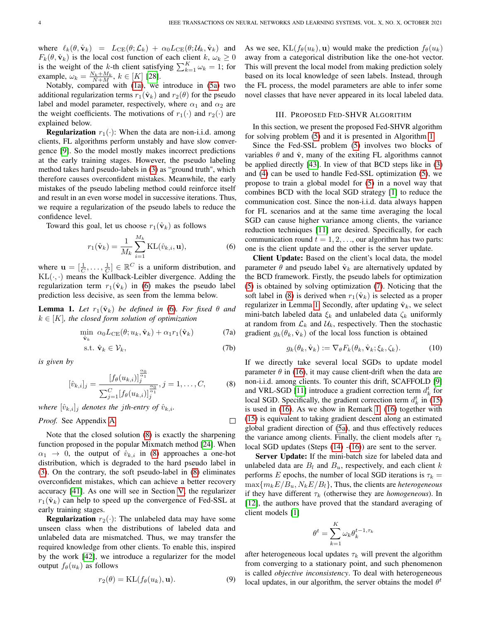where  $\ell_k(\theta, \hat{\mathbf{v}}_k) = L_{\text{CE}}(\theta; \mathcal{L}_k) + \alpha_0 L_{\text{CE}}(\theta; \mathcal{U}_k, \hat{\mathbf{v}}_k)$  and  $F_k(\theta, \hat{\mathbf{v}}_k)$  is the local cost function of each client  $k, \omega_k \geq 0$ is the weight of the k-th client satisfying  $\sum_{k=1}^{K} \omega_k = 1$ ; for example,  $\omega_k = \frac{N_k + M_k}{N + M}, k \in [K]$  [\[28\]](#page-13-24).

Notably, compared with [\(1a\)](#page-2-0), we introduce in [\(5a\)](#page-2-0) two additional regularization terms  $r_1(\hat{\mathbf{v}}_k)$  and  $r_2(\theta)$  for the pseudo label and model parameter, respectively, where  $\alpha_1$  and  $\alpha_2$  are the weight coefficients. The motivations of  $r_1(\cdot)$  and  $r_2(\cdot)$  are explained below.

**Regularization**  $r_1(\cdot)$ : When the data are non-i.i.d. among clients, FL algorithms perform unstably and have slow convergence [\[9\]](#page-13-5). So the model mostly makes incorrect predictions at the early training stages. However, the pseudo labeling method takes hard pseudo-labels in [\(3\)](#page-2-3) as "ground truth", which therefore causes overconfident mistakes. Meanwhile, the early mistakes of the pseudo labeling method could reinforce itself and result in an even worse model in successive iterations. Thus, we require a regularization of the pseudo labels to reduce the confidence level.

Toward this goal, let us choose  $r_1(\hat{v}_k)$  as follows

$$
r_1(\hat{\mathbf{v}}_k) = \frac{1}{M_k} \sum_{i=1}^{M_k} \text{KL}(\hat{v}_{k,i}, \mathbf{u}),
$$
\n(6)

where  $\mathbf{u} = \left[\frac{1}{C}, \dots, \frac{1}{C}\right] \in \mathbb{R}^C$  is a uniform distribution, and  $KL(\cdot, \cdot)$  means the Kullback-Leibler divergence. Adding the regularization term  $r_1(\hat{v}_k)$  in [\(6\)](#page-3-1) makes the pseudo label prediction less decisive, as seen from the lemma below.

<span id="page-3-4"></span>**Lemma 1.** Let  $r_1(\hat{\mathbf{v}}_k)$  be defined in [\(6\)](#page-3-1). For fixed  $\theta$  and  $k \in [K]$ , the closed form solution of optimization

$$
\min_{\hat{\mathbf{v}}_k} \ \alpha_0 L_{\text{CE}}(\theta; u_k, \hat{\mathbf{v}}_k) + \alpha_1 r_1(\hat{\mathbf{v}}_k) \tag{7a}
$$

$$
\text{s.t. } \hat{\mathbf{v}}_k \in \mathcal{V}_k,\tag{7b}
$$

*is given by*

$$
[\hat{v}_{k,i}]_j = \frac{[f_{\theta}(u_{k,i})]_j^{\frac{\alpha_0}{\alpha_1}}}{\sum_{j=1}^C [f_{\theta}(u_{k,i})]_j^{\frac{\alpha_0}{\alpha_1}}}, j = 1, \dots, C,
$$
 (8)

*where*  $[\hat{v}_{k,i}]_j$  *denotes the jth-entry of*  $\hat{v}_{k,i}$ *.* 

*Proof.* See Appendix A. 
$$
\Box
$$

Note that the closed solution [\(8\)](#page-3-2) is exactly the sharpening function proposed in the popular Mixmatch method [\[24\]](#page-13-20). When  $\alpha_1 \rightarrow 0$ , the output of  $\hat{v}_{k,i}$  in [\(8\)](#page-3-2) approaches a one-hot distribution, which is degraded to the hard pseudo label in [\(3\)](#page-2-3). On the contrary, the soft pseudo-label in [\(8\)](#page-3-2) eliminates overconfident mistakes, which can achieve a better recovery accuracy [\[41\]](#page-13-36). As one will see in Section [V,](#page-5-0) the regularizer  $r_1(\hat{\mathbf{v}}_k)$  can help to speed up the convergence of Fed-SSL at early training stages.

**Regularization**  $r_2(\cdot)$ : The unlabeled data may have some unseen class when the distributions of labeled data and unlabeled data are mismatched. Thus, we may transfer the required knowledge from other clients. To enable this, inspired by the work [\[42\]](#page-13-37), we introduce a regularizer for the model output  $f_{\theta}(u_k)$  as follows

$$
r_2(\theta) = \text{KL}(f_\theta(u_k), \mathbf{u}).\tag{9}
$$

As we see,  $KL(f_{\theta}(u_k), \mathbf{u})$  would make the prediction  $f_{\theta}(u_k)$ away from a categorical distribution like the one-hot vector. This will prevent the local model from making prediction solely based on its local knowledge of seen labels. Instead, through the FL process, the model parameters are able to infer some novel classes that have never appeared in its local labeled data.

#### III. PROPOSED FED-SHVR ALGORITHM

<span id="page-3-0"></span>In this section, we present the proposed Fed-SHVR algorithm for solving problem [\(5\)](#page-2-5) and it is presented in Algorithm [1.](#page-4-1)

Since the Fed-SSL problem [\(5\)](#page-2-5) involves two blocks of variables  $\theta$  and  $\hat{v}$ , many of the exiting FL algorithms cannot be applied directly [\[43\]](#page-13-38). In view of that BCD steps like in [\(3\)](#page-2-3) and [\(4\)](#page-2-4) can be used to handle Fed-SSL optimization [\(5\)](#page-2-5), we propose to train a global model for [\(5\)](#page-2-5) in a novel way that combines BCD with the local SGD strategy [\[1\]](#page-12-0) to reduce the communication cost. Since the non-i.i.d. data always happen for FL scenarios and at the same time averaging the local SGD can cause higher variance among clients, the variance reduction techniques [\[11\]](#page-13-7) are desired. Specifically, for each communication round  $t = 1, 2, \ldots$ , our algorithm has two parts: one is the client update and the other is the server update.

<span id="page-3-1"></span>Client Update: Based on the client's local data, the model parameter  $\theta$  and pseudo label  $\hat{\mathbf{v}}_k$  are alternatively updated by the BCD framework. Firstly, the pseudo labels for optimization [\(5\)](#page-2-5) is obtained by solving optimization [\(7\)](#page-3-3). Noticing that the soft label in [\(8\)](#page-3-2) is derived when  $r_1(\hat{v}_k)$  is selected as a proper regularizer in Lemma [1.](#page-3-4) Secondly, after updating  $\hat{\mathbf{v}}_k$ , we select mini-batch labeled data  $\xi_k$  and unlabeled data  $\zeta_k$  uniformly at random from  $\mathcal{L}_k$  and  $\mathcal{U}_k$ , respectively. Then the stochastic gradient  $g_k(\theta_k, \hat{\mathbf{v}}_k)$  of the local loss function is obtained

$$
g_k(\theta_k, \hat{\mathbf{v}}_k) := \nabla_{\theta} F_k(\theta_k, \hat{\mathbf{v}}_k; \xi_k, \zeta_k). \tag{10}
$$

<span id="page-3-3"></span><span id="page-3-2"></span>If we directly take several local SGDs to update model parameter  $\theta$  in [\(16\)](#page-4-2), it may cause client-drift when the data are non-i.i.d. among clients. To counter this drift, SCAFFOLD [\[9\]](#page-13-5) and VRL-SGD [\[11\]](#page-13-7) introduce a gradient correction term  $d_k^t$  for local SGD. Specifically, the gradient correction term  $d_k^t$  in [\(15\)](#page-4-3) is used in [\(16\)](#page-4-2). As we show in Remark [1,](#page-4-4) [\(16\)](#page-4-2) together with [\(15\)](#page-4-3) is equivalent to taking gradient descent along an estimated global gradient direction of [\(5a\)](#page-2-0), and thus effectively reduces the variance among clients. Finally, the client models after  $\tau_k$ local SGD updates (Steps [\(14\)](#page-4-5) -[\(16\)](#page-4-2)) are sent to the server.

Server Update: If the mini-batch size for labeled data and unlabeled data are  $B_l$  and  $B_u$ , respectively, and each client k performs E epochs, the number of local SGD iterations is  $\tau_k =$  $\max\{m_k E/B_u, N_k E/B_l\}$ , Thus, the clients are *heterogeneous* if they have different  $\tau_k$  (otherwise they are *homogeneous*). In [\[12\]](#page-13-8), the authors have proved that the standard averaging of client models [\[1\]](#page-12-0)

$$
\theta^t = \sum_{k=1}^K \omega_k \theta_k^{t-1,\tau_k}
$$

<span id="page-3-5"></span>after heterogeneous local updates  $\tau_k$  will prevent the algorithm from converging to a stationary point, and such phenomenon is called *objective inconsistency*. To deal with heterogeneous local updates, in our algorithm, the server obtains the model  $\theta^t$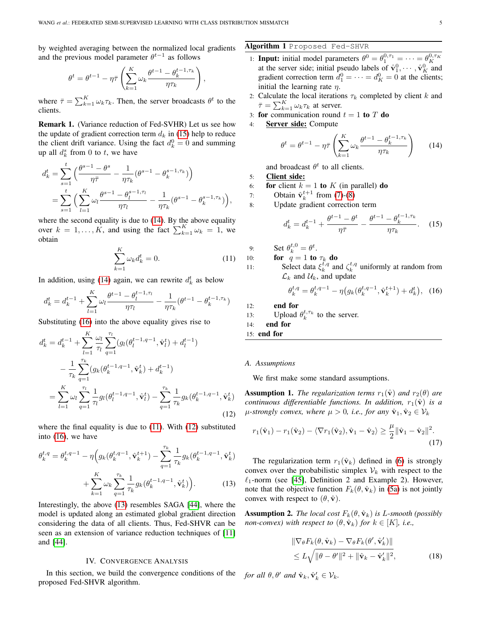,

by weighted averaging between the normalized local gradients and the previous model parameter  $\theta^{t-1}$  as follows

$$
\theta^{t} = \theta^{t-1} - \eta \bar{\tau} \left( \sum_{k=1}^{K} \omega_k \frac{\theta^{t-1} - \theta_k^{t-1, \tau_k}}{\eta \tau_k} \right)
$$

where  $\bar{\tau} = \sum_{k=1}^{K} \omega_k \tau_k$ . Then, the server broadcasts  $\theta^t$  to the clients.

<span id="page-4-4"></span>Remark 1. (Variance reduction of Fed-SVHR) Let us see how the update of gradient correction term  $d_k$  in [\(15\)](#page-4-3) help to reduce the client drift variance. Using the fact  $d_k^0 = 0$  and summing up all  $d_k^s$  from 0 to t, we have

$$
d_k^t = \sum_{s=1}^t \left( \frac{\theta^{s-1} - \theta^s}{\eta \overline{\tau}} - \frac{1}{\eta \tau_k} (\theta^{s-1} - \theta_k^{s-1, \tau_k}) \right)
$$
  
= 
$$
\sum_{s=1}^t \left( \sum_{l=1}^K \omega_l \frac{\theta^{s-1} - \theta_l^{s-1, \tau_l}}{\eta \tau_l} - \frac{1}{\eta \tau_k} (\theta^{s-1} - \theta_k^{s-1, \tau_k}) \right),
$$

where the second equality is due to  $(14)$ . By the above equality over  $k = 1, ..., K$ , and using the fact  $\sum_{k=1}^{K} \omega_k = 1$ , we obtain

$$
\sum_{k=1}^{K} \omega_k d_k^t = 0.
$$
\n(11)

In addition, using [\(14\)](#page-4-5) again, we can rewrite  $d_k^t$  as below

$$
d_k^t = d_k^{t-1} + \sum_{l=1}^K \omega_l \frac{\theta^{t-1} - \theta_l^{t-1, \tau_l}}{\eta \tau_l} - \frac{1}{\eta \tau_k} (\theta^{t-1} - \theta_k^{t-1, \tau_k})
$$

Substituting [\(16\)](#page-4-2) into the above equality gives rise to

 $\overline{r}$ 

$$
d_k^t = d_k^{t-1} + \sum_{l=1}^K \frac{\omega_l}{\tau_l} \sum_{q=1}^{\tau_l} (g_l(\theta_l^{t-1,q-1}, \hat{\mathbf{v}}_l^t) + d_l^{t-1})
$$
  

$$
- \frac{1}{\tau_k} \sum_{q=1}^{\tau_k} (g_k(\theta_k^{t-1,q-1}, \hat{\mathbf{v}}_k^t) + d_k^{t-1})
$$
  

$$
= \sum_{l=1}^K \omega_l \sum_{q=1}^{\tau_l} \frac{1}{\tau_l} g_l(\theta_l^{t-1,q-1}, \hat{\mathbf{v}}_l^t) - \sum_{q=1}^{\tau_k} \frac{1}{\tau_k} g_k(\theta_k^{t-1,q-1}, \hat{\mathbf{v}}_k^t)
$$
(12)

where the final equality is due to [\(11\)](#page-4-6). With [\(12\)](#page-4-7) substituted into [\(16\)](#page-4-2), we have

$$
\theta_k^{t,q} = \theta_k^{t,q-1} - \eta \Big( g_k(\theta_k^{t,q-1}, \hat{\mathbf{v}}_k^{t+1}) - \sum_{q=1}^{\tau_k} \frac{1}{\tau_k} g_k(\theta_k^{t-1,q-1}, \hat{\mathbf{v}}_k^t) + \sum_{k=1}^K \omega_k \sum_{q=1}^{\tau_k} \frac{1}{\tau_k} g_k(\theta_k^{t-1,q-1}, \hat{\mathbf{v}}_k^t) \Big). \tag{13}
$$

Interestingly, the above [\(13\)](#page-4-8) resembles SAGA [\[44\]](#page-13-39), where the model is updated along an estimated global gradient direction considering the data of all clients. Thus, Fed-SHVR can be seen as an extension of variance reduction techniques of [\[11\]](#page-13-7) and [\[44\]](#page-13-39).

#### IV. CONVERGENCE ANALYSIS

<span id="page-4-0"></span>In this section, we build the convergence conditions of the proposed Fed-SHVR algorithm.

# Algorithm 1 Proposed Fed-SHVR

- <span id="page-4-1"></span>1: **Input:** initial model parameters  $\theta^0 = \theta_1^{0, \tau_1} = \cdots = \theta_K^{0, \tau_K}$  at the server side; initial pseudo labels of  $\hat{\mathbf{v}}_1^0, \cdots, \hat{\mathbf{v}}_K^0$  and gradient correction term  $d_1^0 = \cdots = d_K^0 = 0$  at the clients; initial the learning rate  $\eta$ .
- 2: Calculate the local iterations  $\tau_k$  completed by client k and  $\bar{\tau} = \sum_{k=1}^{K} \omega_k \tau_k$  at server.
- 3: for communication round  $t = 1$  to T do
- 4: Server side: Compute

<span id="page-4-5"></span>
$$
\theta^t = \theta^{t-1} - \eta \bar{\tau} \left( \sum_{k=1}^K \omega_k \frac{\theta^{t-1} - \theta_k^{t-1, \tau_k}}{\eta \tau_k} \right) \tag{14}
$$

and broadcast  $\theta^t$  to all clients.

5: Client side:

- 6: for client  $k = 1$  to K (in parallel) do
- 7: Obtain  $\hat{\mathbf{v}}_k^{t+1}$  from [\(7\)](#page-3-3)-[\(8\)](#page-3-2)
- 8: Update gradient correction term

<span id="page-4-3"></span>
$$
d_k^t = d_k^{t-1} + \frac{\theta^{t-1} - \theta^t}{\eta \bar{\tau}} - \frac{\theta^{t-1} - \theta_k^{t-1, \tau_k}}{\eta \tau_k}.
$$
 (15)

9: Set 
$$
\theta_k^{t,0} = \theta_t^t
$$
.

<span id="page-4-6"></span>10: **for**  $q = 1$  to  $\tau_k$  do

11: Select data  $\xi_k^{t,q}$  and  $\zeta_k^{t,q}$  uniformly at random from  $\mathcal{L}_k$  and  $\mathcal{U}_k$ , and update

<span id="page-4-2"></span>
$$
\theta_k^{t,q} = \theta_k^{t,q-1} - \eta(g_k(\theta_k^{t,q-1}, \hat{\mathbf{v}}_k^{t+1}) + d_k^t), \tag{16}
$$

12: end for

13: Upload  $\theta_k^{t,\tau_k}$  to the server.

14: end for

# 15: end for

#### *A. Assumptions*

We first make some standard assumptions.

<span id="page-4-10"></span><span id="page-4-7"></span>**Assumption 1.** *The regularization terms*  $r_1(\hat{\mathbf{v}})$  *and*  $r_2(\theta)$  *are continuous differentiable functions. In addition,*  $r_1(\hat{v})$  *is a*  $\mu$ -strongly convex, where  $\mu > 0$ , i.e., for any  $\hat{\mathbf{v}}_1, \hat{\mathbf{v}}_2 \in \mathcal{V}_k$ 

$$
r_1(\hat{\mathbf{v}}_1) - r_1(\hat{\mathbf{v}}_2) - \langle \nabla r_1(\hat{\mathbf{v}}_2), \hat{\mathbf{v}}_1 - \hat{\mathbf{v}}_2 \rangle \ge \frac{\mu}{2} ||\hat{\mathbf{v}}_1 - \hat{\mathbf{v}}_2||^2.
$$
\n(17)

<span id="page-4-8"></span>The regularization term  $r_1(\hat{\mathbf{v}}_k)$  defined in [\(6\)](#page-3-1) is strongly convex over the probabilistic simplex  $V_k$  with respect to the  $\ell_1$ -norm (see [\[45\]](#page-13-40), Definition 2 and Example 2). However, note that the objective function  $F_k(\theta, \hat{\mathbf{v}}_k)$  in [\(5a\)](#page-2-0) is not jointly convex with respect to  $(\theta, \hat{\mathbf{v}})$ .

<span id="page-4-9"></span>**Assumption 2.** *The local cost*  $F_k(\theta, \hat{\mathbf{v}}_k)$  *is L-smooth (possibly non-convex)* with respect to  $(\theta, \hat{\mathbf{v}}_k)$  for  $k \in [K]$ , i.e.,

<span id="page-4-11"></span>
$$
\|\nabla_{\theta} F_k(\theta, \hat{\mathbf{v}}_k) - \nabla_{\theta} F_k(\theta', \hat{\mathbf{v}}'_k)\|
$$
  
\$\leq L\sqrt{\|\theta - \theta'\|^2 + \|\hat{\mathbf{v}}\_k - \hat{\mathbf{v}}'\_k\|^2}, \qquad (18)\$

*for all*  $\theta, \theta'$  *and*  $\hat{\mathbf{v}}_k, \hat{\mathbf{v}}'_k \in \mathcal{V}_k$ *.*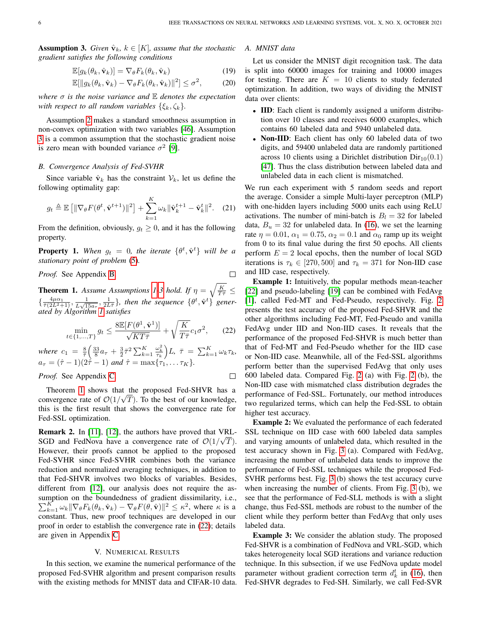<span id="page-5-1"></span>**Assumption 3.** *Given*  $\hat{\mathbf{v}}_k$ ,  $k \in [K]$ *, assume that the stochastic gradient satisfies the following conditions*

$$
\mathbb{E}[g_k(\theta_k, \hat{\mathbf{v}}_k)] = \nabla_{\theta} F_k(\theta_k, \hat{\mathbf{v}}_k)
$$
(19)

$$
\mathbb{E}[\|g_k(\theta_k, \hat{\mathbf{v}}_k) - \nabla_{\theta} F_k(\theta_k, \hat{\mathbf{v}}_k)\|^2] \leq \sigma^2, \tag{20}
$$

*where* σ *is the noise variance and* E *denotes the expectation with respect to all random variables*  $\{\xi_k, \zeta_k\}$ .

Assumption [2](#page-4-9) makes a standard smoothness assumption in non-convex optimization with two variables [\[46\]](#page-13-41). Assumption [3](#page-5-1) is a common assumption that the stochastic gradient noise is zero mean with bounded variance  $\sigma^2$  [\[9\]](#page-13-5).

#### *B. Convergence Analysis of Fed-SVHR*

Since variable  $\hat{\mathbf{v}}_k$  has the constraint  $\mathcal{V}_k$ , let us define the following optimality gap:

$$
g_t \triangleq \mathbb{E}\left[\|\nabla_{\theta}F(\theta^t, \hat{\mathbf{v}}^{t+1})\|^2\right] + \sum_{k=1}^K \omega_k \|\hat{\mathbf{v}}_k^{t+1} - \hat{\mathbf{v}}_k^t\|^2. \tag{21}
$$

From the definition, obviously,  $g_t \geq 0$ , and it has the following property.

<span id="page-5-4"></span>**Property 1.** When  $g_t = 0$ , the iterate  $\{\theta^t, \hat{\mathbf{v}}^t\}$  will be a *stationary point of problem* [\(5\)](#page-2-5)*.*

*Proof.* See Appendix [B.](#page-8-2)

 $\Box$ 

 $\Box$ 

<span id="page-5-2"></span>**Theorem [1](#page-4-10).** Assume Assumptions 1[-3](#page-5-1) hold. If  $\eta = \sqrt{\frac{K}{T_{\overline{\tau}}}} \leq$  $\{\frac{4\mu\alpha_1}{\bar{\tau}(2L^2+1)}, \frac{1}{L\sqrt{15a_\tau}}, \frac{1}{2L\bar{\tau}}\}$ , then the sequence  $\{\theta^t, \hat{\mathbf{v}}^t\}$  gener*ated by Algorithm [1](#page-4-1) satisfies*

$$
\min_{t \in \{1, \dots, T\}} g_t \le \frac{8\mathbb{E}[F(\theta^1, \hat{\mathbf{v}}^1)]}{\sqrt{KT\bar{\tau}}} + \sqrt{\frac{K}{T\bar{\tau}}} c_1 \sigma^2, \qquad (22)
$$

*where*  $c_1 = \frac{8}{\bar{\tau}} \left( \frac{33}{8} a_{\tau} + \frac{3}{2} \bar{\tau}^2 \sum_{k=1}^K \right)$  $\left(\frac{\omega_k^2}{\tau_k}\right)L$ ,  $\bar{\tau}$  =  $\sum_{k=1}^K \omega_k \tau_k$ ,  $a_{\tau} = (\hat{\tau} - 1)(2\hat{\tau} - 1)$  *and*  $\hat{\tau} = \max{\{\tau_1, ..., \tau_K\}}$ .

*Proof.* See Appendix [C.](#page-9-0)

Theorem [1](#page-5-2) shows that the proposed Fed-SHVR has a convergence rate of  $\mathcal{O}(1/\sqrt{T})$ . To the best of our knowledge, this is the first result that shows the convergence rate for Fed-SSL optimization.

**Remark 2.** In [\[11\]](#page-13-7), [\[12\]](#page-13-8), the authors have proved that VRL-SGD and FedNova have a convergence rate of  $\mathcal{O}(1/\sqrt{T})$ . However, their proofs cannot be applied to the proposed Fed-SVHR since Fed-SVHR combines both the variance reduction and normalized averaging techniques, in addition to that Fed-SHVR involves two blocks of variables. Besides, different from [\[12\]](#page-13-8), our analysis does not require the assumption on the boundedness of gradient dissimilarity, i.e.,  $\sum_{k=1}^K \omega_k \|\nabla_{\theta} F_k(\theta_k, \hat{\mathbf{v}}_k) - \nabla_{\theta} F(\theta, \hat{\mathbf{v}})\|^2 \leq \kappa^2$ , where  $\kappa$  is a constant. Thus, new proof techniques are developed in our proof in order to establish the convergence rate in [\(22\)](#page-5-3); details are given in Appendix [C.](#page-9-0)

#### V. NUMERICAL RESULTS

<span id="page-5-0"></span>In this section, we examine the numerical performance of the proposed Fed-SVHR algorithm and present comparison results with the existing methods for MNIST data and CIFAR-10 data.

# *A. MNIST data*

<span id="page-5-7"></span><span id="page-5-6"></span>Let us consider the MNIST digit recognition task. The data is split into 60000 images for training and 10000 images for testing. There are  $K = 10$  clients to study federated optimization. In addition, two ways of dividing the MNIST data over clients:

- IID: Each client is randomly assigned a uniform distribution over 10 classes and receives 6000 examples, which contains 60 labeled data and 5940 unlabeled data.
- Non-IID: Each client has only 60 labeled data of two digits, and 59400 unlabeled data are randomly partitioned across 10 clients using a Dirichlet distribution  $Dir_{10}(0.1)$ [\[47\]](#page-13-42). Thus the class distribution between labeled data and unlabeled data in each client is mismatched.

<span id="page-5-5"></span>We run each experiment with 5 random seeds and report the average. Consider a simple Multi-layer perceptron (MLP) with one-hidden layers including 5000 units each using ReLU activations. The number of mini-batch is  $B_l = 32$  for labeled data,  $B_u = 32$  for unlabeled data. In [\(16\)](#page-4-2), we set the learning rate  $\eta = 0.01$ ,  $\alpha_1 = 0.75$ ,  $\alpha_2 = 0.1$  and  $\alpha_0$  ramp up its weight from 0 to its final value during the first 50 epochs. All clients perform  $E = 2$  local epochs, then the number of local SGD iterations is  $\tau_k \in [270, 500]$  and  $\tau_k = 371$  for Non-IID case and IID case, respectively.

<span id="page-5-3"></span>Example 1: Intuitively, the popular methods mean-teacher [\[22\]](#page-13-18) and pseudo-labeling [\[19\]](#page-13-15) can be combined with FedAvg [\[1\]](#page-12-0), called Fed-MT and Fed-Pseudo, respectively. Fig. [2](#page-6-0) presents the test accuracy of the proposed Fed-SHVR and the other algorithms including Fed-MT, Fed-Pseudo and vanilla FedAvg under IID and Non-IID cases. It reveals that the performance of the proposed Fed-SHVR is much better than that of Fed-MT and Fed-Pseudo whether for the IID case or Non-IID case. Meanwhile, all of the Fed-SSL algorithms perform better than the supervised FedAvg that only uses 600 labeled data. Compared Fig. [2](#page-6-0) (a) with Fig. [2](#page-6-0) (b), the Non-IID case with mismatched class distribution degrades the performance of Fed-SSL. Fortunately, our method introduces two regularized terms, which can help the Fed-SSL to obtain higher test accuracy.

Example 2: We evaluated the performance of each federated SSL technique on IID case with 600 labeled data samples and varying amounts of unlabeled data, which resulted in the test accuracy shown in Fig. [3](#page-6-1) (a). Compared with FedAvg, increasing the number of unlabeled data tends to improve the performance of Fed-SSL techniques while the proposed Fed-SVHR performs best. Fig. [3](#page-6-1) (b) shows the test accuracy curve when increasing the number of clients. From Fig. [3](#page-6-1) (b), we see that the performance of Fed-SLL methods is with a slight change, thus Fed-SSL methods are robust to the number of the client while they perform better than FedAvg that only uses labeled data.

Example 3: We consider the ablation study. The proposed Fed-SHVR is a combination of FedNova and VRL-SGD, which takes heterogeneity local SGD iterations and variance reduction technique. In this subsection, if we use FedNova update model parameter without gradient correction term  $d_k^t$  in [\(16\)](#page-4-2), then Fed-SHVR degrades to Fed-SH. Similarly, we call Fed-SVR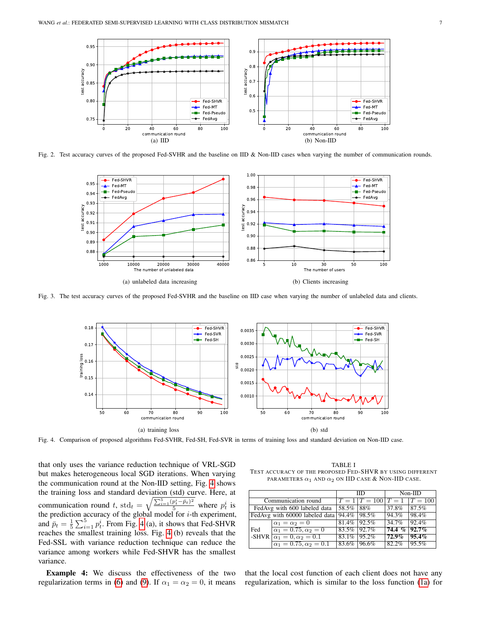<span id="page-6-0"></span>

Fig. 2. Test accuracy curves of the proposed Fed-SVHR and the baseline on IID & Non-IID cases when varying the number of communication rounds.



Fig. 3. The test accuracy curves of the proposed Fed-SVHR and the baseline on IID case when varying the number of unlabeled data and clients.



Fig. 4. Comparison of proposed algorithms Fed-SVHR, Fed-SH, Fed-SVR in terms of training loss and standard deviation on Non-IID case.

that only uses the variance reduction technique of VRL-SGD but makes heterogeneous local SGD iterations. When varying the communication round at the Non-IID setting, Fig. [4](#page-6-2) shows the training loss and standard deviation (std) curve. Here, at communication round t,  $\text{std}_t = \sqrt{\frac{\sum_{i=1}^5 (p_t^i - \bar{p}_t)^2}{5}}$  where  $p_t^i$  is the prediction accuracy of the global model for  $i$ -th experiment, and  $\bar{p}_t = \frac{1}{5} \sum_{i=1}^5 p_t^i$ . From Fig. [4](#page-6-2) (a), it shows that Fed-SHVR reaches the smallest training loss. Fig. [4](#page-6-2) (b) reveals that the Fed-SSL with variance reduction technique can reduce the variance among workers while Fed-SHVR has the smallest variance.

<span id="page-6-3"></span>TEST ACCURACY OF THE PROPOSED FED-SHVR BY USING DIFFERENT PARAMETERS  $\alpha_1$  AND  $\alpha_2$  ON IID CASE & NON-IID CASE.

<span id="page-6-2"></span><span id="page-6-1"></span>TABLE I

|                                                    |                                      |                | IID                           |                 | $Non-IID$ |  |
|----------------------------------------------------|--------------------------------------|----------------|-------------------------------|-----------------|-----------|--|
| Communication round                                |                                      |                | $T = 1 T = 100 T = 1 T = 100$ |                 |           |  |
| FedAvg with 600 labeled data                       |                                      | $158.5\%$ 88\% |                               | 37.8%           | 87.5%     |  |
| FedAvg with 60000 labeled data $94.4\%$   $98.5\%$ |                                      |                |                               | 94.3%           | 98.4%     |  |
| Fed                                                | $\alpha_1 = \alpha_2 = 0$            | 81.4% 92.5%    |                               | 34.7%           | 92.4%     |  |
|                                                    | $\alpha_1 = 0.75, \alpha_2 = 0$      | $83.5\%$ 92.7% |                               | 74.4 % $92.7\%$ |           |  |
|                                                    | -SHVR $\alpha_1 = 0, \alpha_2 = 0.1$ | 83.1% 95.2%    |                               | $72.9\%$        | 195.4%    |  |
|                                                    | $\alpha_1 = 0.75, \alpha_2 = 0.1$    | 83.6% 96.6%    |                               | 82.2%           | 95.5%     |  |

Example 4: We discuss the effectiveness of the two regularization terms in [\(6\)](#page-3-1) and [\(9\)](#page-3-5). If  $\alpha_1 = \alpha_2 = 0$ , it means

that the local cost function of each client does not have any regularization, which is similar to the loss function [\(1a\)](#page-2-0) for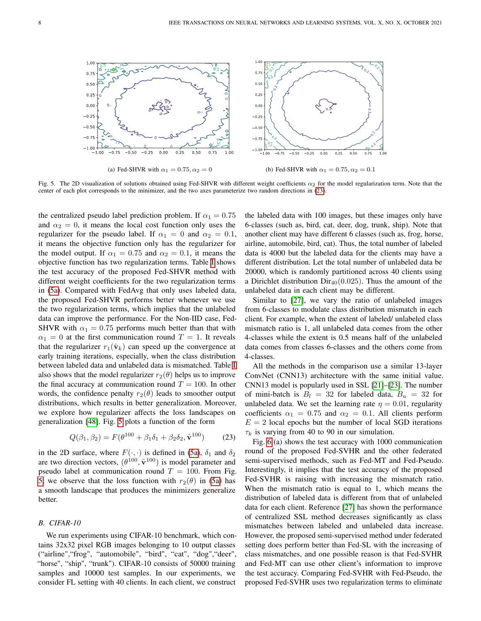

Fig. 5. The 2D visualization of solutions obtained using Fed-SHVR with different weight coefficients  $\alpha_2$  for the model regularization term. Note that the center of each plot corresponds to the minimizer, and the two axes parameterize two random directions in [\(23\)](#page-7-0).

the centralized pseudo label prediction problem. If  $\alpha_1 = 0.75$ and  $\alpha_2 = 0$ , it means the local cost function only uses the regularizer for the pseudo label. If  $\alpha_1 = 0$  and  $\alpha_2 = 0.1$ , it means the objective function only has the regularizer for the model output. If  $\alpha_1 = 0.75$  and  $\alpha_2 = 0.1$ , it means the objective function has two regularization terms. Table [I](#page-6-3) shows the test accuracy of the proposed Fed-SHVR method with different weight coefficients for the two regularization terms in [\(5a\)](#page-2-0). Compared with FedAvg that only uses labeled data, the proposed Fed-SHVR performs better whenever we use the two regularization terms, which implies that the unlabeled data can improve the performance. For the Non-IID case, Fed-SHVR with  $\alpha_1 = 0.75$  performs much better than that with  $\alpha_1 = 0$  at the first communication round  $T = 1$ . It reveals that the regularizer  $r_1(\hat{\mathbf{v}}_k)$  can speed up the convergence at early training iterations, especially, when the class distribution between labeled data and unlabeled data is mismatched. Table [I](#page-6-3) also shows that the model regularizer  $r_2(\theta)$  helps us to improve the final accuracy at communication round  $T = 100$ . In other words, the confidence penalty  $r_2(\theta)$  leads to smoother output distributions, which results in better generalization. Moreover, we explore how regularizer affects the loss landscapes on generalization [\[48\]](#page-13-43). Fig. [5](#page-7-1) plots a function of the form

$$
Q(\beta_1, \beta_2) = F(\theta^{100} + \beta_1 \delta_1 + \beta_2 \delta_2, \hat{\mathbf{v}}^{100})
$$
 (23)

in the 2D surface, where  $F(\cdot, \cdot)$  is defined in [\(5a\)](#page-2-0),  $\delta_1$  and  $\delta_2$ are two direction vectors,  $(\theta^{100}, \hat{\mathbf{v}}^{100})$  is model parameter and pseudo label at communication round  $T = 100$ . From Fig. [5,](#page-7-1) we observe that the loss function with  $r_2(\theta)$  in [\(5a\)](#page-2-0) has a smooth landscape that produces the minimizers generalize better.

#### *B. CIFAR-10*

We run experiments using CIFAR-10 benchmark, which contains 32x32 pixel RGB images belonging to 10 output classes ("airline","frog", "automobile", "bird", "cat", "dog","deer", "horse", "ship", "trunk"). CIFAR-10 consists of 50000 training samples and 10000 test samples. In our experiments, we consider FL setting with 40 clients. In each client, we construct

<span id="page-7-1"></span>the labeled data with 100 images, but these images only have 6-classes (such as, bird, cat, deer, dog, trunk, ship). Note that another client may have different 6 classes (such as, frog, horse, airline, automobile, bird, cat). Thus, the total number of labeled data is 4000 but the labeled data for the clients may have a different distribution. Let the total number of unlabeled data be 20000, which is randomly partitioned across 40 clients using a Dirichlet distribution  $Dir_{40}(0.025)$ . Thus the amount of the unlabeled data in each client may be different.

Similar to [\[27\]](#page-13-23), we vary the ratio of unlabeled images from 6-classes to modulate class distribution mismatch in each client. For example, when the extent of labeled/ unlabeled class mismatch ratio is 1, all unlabeled data comes from the other 4-classes while the extent is 0.5 means half of the unlabeled data comes from classes 6-classes and the others come from 4-classes.

All the methods in the comparison use a similar 13-layer ConvNet (CNN13) architecture with the same initial value. CNN13 model is popularly used in SSL [\[21\]](#page-13-17)–[\[23\]](#page-13-19). The number of mini-batch is  $B_l = 32$  for labeled data,  $B_u = 32$  for unlabeled data. We set the learning rate  $\eta = 0.01$ , regularity coefficients  $\alpha_1 = 0.75$  and  $\alpha_2 = 0.1$ . All clients perform  $E = 2$  local epochs but the number of local SGD iterations  $\tau_k$  is varying from 40 to 90 in our simulation.

<span id="page-7-0"></span>Fig. [6](#page-8-3) (a) shows the test accuracy with 1000 communication round of the proposed Fed-SVHR and the other federated semi-supervised methods, such as Fed-MT and Fed-Pseudo. Interestingly, it implies that the test accuracy of the proposed Fed-SVHR is raising with increasing the mismatch ratio. When the mismatch ratio is equal to 1, which means the distribution of labeled data is different from that of unlabeled data for each client. Reference [\[27\]](#page-13-23) has shown the performance of centralized SSL method decreases significantly as class mismatches between labeled and unlabeled data increase. However, the proposed semi-supervised method under federated setting does perform better than Fed-SL with the increasing of class mismatches, and one possible reason is that Fed-SVHR and Fed-MT can use other client's information to improve the test accuracy. Comparing Fed-SVHR with Fed-Pseudo, the proposed Fed-SVHR uses two regularization terms to eliminate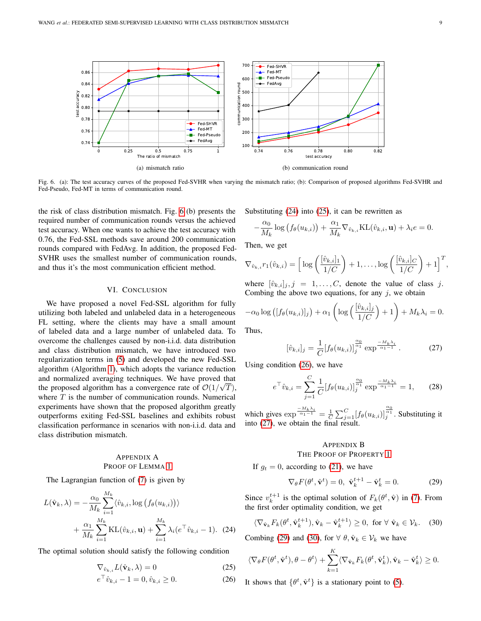

Fig. 6. (a): The test accuracy curves of the proposed Fed-SVHR when varying the mismatch ratio; (b): Comparison of proposed algorithms Fed-SVHR and Fed-Pseudo, Fed-MT in terms of communication round.

the risk of class distribution mismatch. Fig. [6](#page-8-3) (b) presents the required number of communication rounds versus the achieved test accuracy. When one wants to achieve the test accuracy with 0.76, the Fed-SSL methods save around 200 communication rounds compared with FedAvg. In addition, the proposed Fed-SVHR uses the smallest number of communication rounds, and thus it's the most communication efficient method.

#### VI. CONCLUSION

<span id="page-8-0"></span>We have proposed a novel Fed-SSL algorithm for fully utilizing both labeled and unlabeled data in a heterogeneous FL setting, where the clients may have a small amount of labeled data and a large number of unlabeled data. To overcome the challenges caused by non-i.i.d. data distribution and class distribution mismatch, we have introduced two regularization terms in [\(5\)](#page-2-5) and developed the new Fed-SSL algorithm (Algorithm [1\)](#page-4-1), which adopts the variance reduction and normalized averaging techniques. We have proved that the proposed algorithm has a convergence rate of  $\mathcal{O}(1/\sqrt{T})$ , where  $T$  is the number of communication rounds. Numerical experiments have shown that the proposed algorithm greatly outperforms exiting Fed-SSL baselines and exhibits robust classification performance in scenarios with non-i.i.d. data and class distribution mismatch.

# <span id="page-8-1"></span>APPENDIX A PROOF OF LEMMA [1](#page-3-4)

The Lagrangian function of [\(7\)](#page-3-3) is given by

 $\ddot{\phantom{a}}$ 

$$
L(\hat{\mathbf{v}}_k, \lambda) = -\frac{\alpha_0}{M_k} \sum_{i=1}^{M_k} \langle \hat{v}_{k,i}, \log (f_{\theta}(u_{k,i})) \rangle
$$
  
+ 
$$
\frac{\alpha_1}{M_k} \sum_{i=1}^{M_k} \text{KL}(\hat{v}_{k,i}, \mathbf{u}) + \sum_{i=1}^{M_k} \lambda_i (e^{\top} \hat{v}_{k,i} - 1). \quad (24)
$$

The optimal solution should satisfy the following condition

$$
\nabla_{\hat{v}_{k,i}} L(\hat{\mathbf{v}}_k, \lambda) = 0 \tag{25}
$$

$$
e^{\top} \hat{v}_{k,i} - 1 = 0, \hat{v}_{k,i} \ge 0. \tag{26}
$$

Substituting [\(24\)](#page-8-4) into [\(25\)](#page-8-5), it can be rewritten as

<span id="page-8-3"></span>
$$
-\frac{\alpha_0}{M_k}\log\left(f_{\theta}(u_{k,i})\right)+\frac{\alpha_1}{M_k}\nabla_{\hat{v}_{k,i}}\text{KL}(\hat{v}_{k,i},\mathbf{u})+\lambda_i e=0.
$$

Then, we get

$$
\nabla_{\hat{v}_{k,i}} r_1(\hat{v}_{k,i}) = \left[ \log \left( \frac{[\hat{v}_{k,i}]_1}{1/C} \right) + 1, \ldots, \log \left( \frac{[\hat{v}_{k,i}]_C}{1/C} \right) + 1 \right]^T,
$$

where  $[\hat{v}_{k,i}]_j, j = 1, \ldots, C$ , denote the value of class j. Combing the above two equations, for any  $j$ , we obtain

$$
-\alpha_0 \log \left( [f_\theta(u_{k,i})]_j \right) + \alpha_1 \left( \log \left( \frac{[\hat{v}_{k,i}]_j}{1/C} \right) + 1 \right) + M_k \lambda_i = 0.
$$

Thus,

<span id="page-8-7"></span>
$$
[\hat{v}_{k,i}]_j = \frac{1}{C} [f_\theta(u_{k,i})]_j^{\frac{\alpha_0}{\alpha_1}} \exp^{\frac{-M_k \lambda_i}{\alpha_1 - 1}}.
$$
 (27)

Using condition [\(26\)](#page-8-6), we have

$$
e^{\top} \hat{v}_{k,i} = \sum_{j=1}^{C} \frac{1}{C} [f_{\theta}(u_{k,i})]_j^{\frac{\alpha_0}{\alpha_1}} \exp^{\frac{-M_k \lambda_i}{\alpha_1 - 1}} = 1, \quad (28)
$$

which gives  $\exp^{-\frac{M_k \lambda_i}{\alpha_1 - 1}} = \frac{1}{C} \sum_{j=1}^{C} [f_\theta(u_{k,i})]_j^{\frac{\alpha_0}{\alpha_1}}$ . Substituting it into [\(27\)](#page-8-7), we obtain the final result.

# <span id="page-8-8"></span><span id="page-8-2"></span>APPENDIX B THE PROOF OF PROPERTY [1](#page-5-4)

If  $q_t = 0$ , according to [\(21\)](#page-5-5), we have

<span id="page-8-9"></span>
$$
\nabla_{\theta} F(\theta^t, \hat{\mathbf{v}}^t) = 0, \ \hat{\mathbf{v}}_k^{t+1} - \hat{\mathbf{v}}_k^t = 0. \tag{29}
$$

Since  $v_k^{t+1}$  is the optimal solution of  $F_k(\theta^t, \hat{\mathbf{v}})$  in [\(7\)](#page-3-3). From the first order optimality condition, we get

$$
\langle \nabla_{\hat{\mathbf{v}}_k} F_k(\theta^t, \hat{\mathbf{v}}_k^{t+1}), \hat{\mathbf{v}}_k - \hat{\mathbf{v}}_k^{t+1} \rangle \ge 0, \text{ for } \forall \hat{\mathbf{v}}_k \in \mathcal{V}_k. \quad (30)
$$

<span id="page-8-4"></span>Combing [\(29\)](#page-8-8) and [\(30\)](#page-8-9), for  $\forall \theta, \hat{\mathbf{v}}_k \in \mathcal{V}_k$  we have

<span id="page-8-5"></span>
$$
\langle \nabla_{\theta} F(\theta^t, \hat{\mathbf{v}}^t), \theta - \theta^t \rangle + \sum_{k=1}^K \langle \nabla_{\hat{\mathbf{v}}_k} F_k(\theta^t, \hat{\mathbf{v}}_k^t), \hat{\mathbf{v}}_k - \hat{\mathbf{v}}_k^t \rangle \ge 0.
$$

<span id="page-8-6"></span>It shows that  $\{\theta^t, \hat{\mathbf{v}}^t\}$  is a stationary point to [\(5\)](#page-2-5).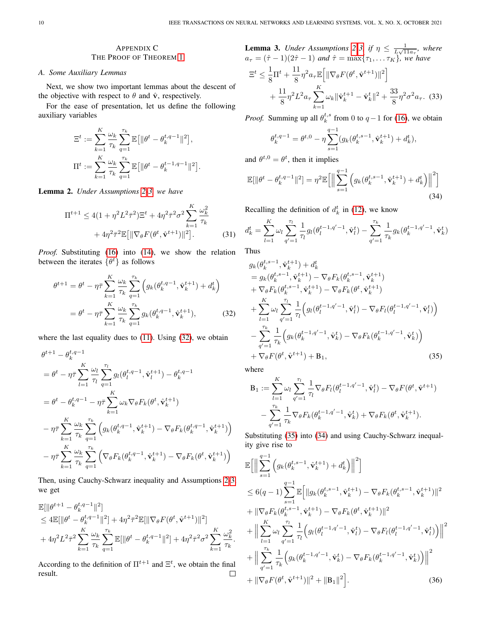<span id="page-9-0"></span>APPENDIX C THE PROOF OF THEOREM [1](#page-5-2)

# *A. Some Auxiliary Lemmas*

Next, we show two important lemmas about the descent of the objective with respect to  $\theta$  and  $\hat{\mathbf{v}}$ , respectively.

For the ease of presentation, let us define the following auxiliary variables

$$
\begin{aligned} \Xi^t &:= \sum_{k=1}^K \frac{\omega_k}{\tau_k} \sum_{q=1}^{\tau_k} \mathbb{E}\big[ \|\theta^t - \theta_k^{t,q-1}\|^2 \big], \\ \Pi^t &:= \sum_{k=1}^K \frac{\omega_k}{\tau_k} \sum_{q=1}^{\tau_k} \mathbb{E}\big[ \|\theta^t - \theta_k^{t-1,q-1}\|^2 \big]. \end{aligned}
$$

<span id="page-9-5"></span>Lemma 2. *Under Assumptions [2-](#page-4-9)[3,](#page-5-1) we have*

$$
\Pi^{t+1} \le 4(1 + \eta^2 L^2 \bar{\tau}^2) \Xi^t + 4\eta^2 \bar{\tau}^2 \sigma^2 \sum_{k=1}^K \frac{\omega_k^2}{\tau_k} + 4\eta^2 \bar{\tau}^2 \mathbb{E} [\|\nabla_{\theta} F(\theta^t, \hat{\mathbf{v}}^{t+1})\|^2].
$$
 (31)

*Proof.* Substituting [\(16\)](#page-4-2) into [\(14\)](#page-4-5), we show the relation between the iterates  $\{\theta^t\}$  as follows

$$
\theta^{t+1} = \theta^t - \eta \bar{\tau} \sum_{k=1}^K \frac{\omega_k}{\tau_k} \sum_{q=1}^{\tau_k} \left( g_k(\theta_k^{t,q-1}, \hat{\mathbf{v}}_k^{t+1}) + d_k^t \right)
$$
  
= 
$$
\theta^t - \eta \bar{\tau} \sum_{k=1}^K \frac{\omega_k}{\tau_k} \sum_{q=1}^{\tau_k} g_k(\theta_k^{t,q-1}, \hat{\mathbf{v}}_k^{t+1}),
$$
(32)

where the last equality dues to [\(11\)](#page-4-6). Using [\(32\)](#page-9-1), we obtain

$$
\theta^{t+1} - \theta_k^{t,q-1}
$$
\n
$$
= \theta^t - \eta \bar{\tau} \sum_{l=1}^K \frac{\omega_l}{\tau_l} \sum_{q=1}^{\tau_l} g_l(\theta_l^{t,q-1}, \hat{\mathbf{v}}_l^{t+1}) - \theta_k^{t,q-1}
$$
\n
$$
= \theta^t - \theta_k^{t,q-1} - \eta \bar{\tau} \sum_{k=1}^K \omega_k \nabla_{\theta} F_k(\theta^t, \hat{\mathbf{v}}_k^{t+1})
$$
\n
$$
- \eta \bar{\tau} \sum_{k=1}^K \frac{\omega_k}{\tau_k} \sum_{q=1}^{\tau_k} \left( g_k(\theta_k^{t,q-1}, \hat{\mathbf{v}}_k^{t+1}) - \nabla_{\theta} F_k(\theta_k^{t,q-1}, \hat{\mathbf{v}}_k^{t+1}) \right)
$$
\n
$$
- \eta \bar{\tau} \sum_{k=1}^K \frac{\omega_k}{\tau_k} \sum_{q=1}^{\tau_k} \left( \nabla_{\theta} F_k(\theta_k^{t,q-1}, \hat{\mathbf{v}}_k^{t+1}) - \nabla_{\theta} F_k(\theta^t, \hat{\mathbf{v}}_k^{t+1}) \right)
$$

Then, using Cauchy-Schwarz inequality and Assumptions [2-](#page-4-9)[3,](#page-5-1) we get

$$
\mathbb{E}[\|\theta^{t+1} - \theta_k^{t,q-1}\|^2] \n\leq 4\mathbb{E}[\|\theta^t - \theta_k^{t,q-1}\|^2] + 4\eta^2 \bar{\tau}^2 \mathbb{E}[\|\nabla_{\theta} F(\theta^t, \hat{\mathbf{v}}^{t+1})\|^2] \n+ 4\eta^2 L^2 \bar{\tau}^2 \sum_{k=1}^K \frac{\omega_k}{\tau_k} \sum_{q=1}^T \mathbb{E}[\|\theta^t - \theta_k^{t,q-1}\|^2] + 4\eta^2 \bar{\tau}^2 \sigma^2 \sum_{k=1}^K \frac{\omega_k^2}{\tau_k}
$$

According to the definition of  $\Pi^{t+1}$  and  $\Xi^t$ , we obtain the final result.  $\Box$  <span id="page-9-7"></span>**Lemma 3.** *Under Assumptions* [2](#page-4-9)[-3,](#page-5-1) *if*  $\eta \leq \frac{1}{L\sqrt{11a_{\tau}}},$  *where*  $a_{\tau} = (\hat{\tau} - 1)(2\hat{\tau} - 1)$  *and*  $\hat{\tau} = \max\{\tau_1, \ldots \tau_K\}$ *, we have* 

$$
\Xi^{t} \leq \frac{1}{8} \Pi^{t} + \frac{11}{8} \eta^{2} a_{\tau} \mathbb{E} \Big[ \| \nabla_{\theta} F(\theta^{t}, \hat{\mathbf{v}}^{t+1}) \|^{2} \Big] \n+ \frac{11}{8} \eta^{2} L^{2} a_{\tau} \sum_{k=1}^{K} \omega_{k} \| \hat{\mathbf{v}}^{t+1}_{k} - \hat{\mathbf{v}}^{t}_{k} \|^{2} + \frac{33}{8} \eta^{2} \sigma^{2} a_{\tau}.
$$
\n(33)

*Proof.* Summing up all  $\theta_k^{t,s}$  from 0 to  $q-1$  for [\(16\)](#page-4-2), we obtain

<span id="page-9-6"></span><span id="page-9-3"></span>
$$
\theta_k^{t,q-1} = \theta^{t,0} - \eta \sum_{s=1}^{q-1} (g_k(\theta_k^{t,s-1}, \hat{\mathbf{v}}_k^{t+1}) + d_k^t),
$$

and  $\theta^{t,0} = \theta^t$ , then it implies

$$
\mathbb{E}[\|\theta^t - \theta_k^{t,q-1}\|^2] = \eta^2 \mathbb{E}\Big[\Big\|\sum_{s=1}^{q-1} \Big(g_k(\theta_k^{t,s-1}, \hat{\mathbf{v}}_k^{t+1}) + d_k^t\Big)\Big\|^2\Big]
$$
\n(34)

Recalling the definition of  $d_k^t$  in [\(12\)](#page-4-7), we know

$$
d_k^t = \sum_{l=1}^K \omega_l \sum_{q'=1}^{\tau_l} \frac{1}{\tau_l} g_l(\theta_l^{t-1,q'-1}, \hat{\mathbf{v}}_l^t) - \sum_{q'=1}^{\tau_k} \frac{1}{\tau_k} g_k(\theta_k^{t-1,q'-1}, \hat{\mathbf{v}}_k^t)
$$

Thus

<span id="page-9-1"></span>
$$
g_k(\theta_k^{t,s-1}, \hat{\mathbf{v}}_k^{t+1}) + d_k^t
$$
  
\n
$$
= g_k(\theta_k^{t,s-1}, \hat{\mathbf{v}}_k^{t+1}) - \nabla_{\theta} F_k(\theta_k^{t,s-1}, \hat{\mathbf{v}}_k^{t+1})
$$
  
\n
$$
+ \nabla_{\theta} F_k(\theta_k^{t,s-1}, \hat{\mathbf{v}}_k^{t+1}) - \nabla_{\theta} F_k(\theta^t, \hat{\mathbf{v}}_k^{t+1})
$$
  
\n
$$
+ \sum_{l=1}^K \omega_l \sum_{q'=1}^{r_l} \frac{1}{\tau_l} \Big( g_l(\theta_l^{t-1,q'-1}, \hat{\mathbf{v}}_l^{t}) - \nabla_{\theta} F_l(\theta_l^{t-1,q'-1}, \hat{\mathbf{v}}_l^{t}) \Big)
$$
  
\n
$$
- \sum_{q'=1}^{r_k} \frac{1}{\tau_k} \Big( g_k(\theta_k^{t-1,q'-1}, \hat{\mathbf{v}}_k^{t}) - \nabla_{\theta} F_k(\theta_k^{t-1,q'-1}, \hat{\mathbf{v}}_k^{t}) \Big)
$$
  
\n
$$
+ \nabla_{\theta} F(\theta^t, \hat{\mathbf{v}}^{t+1}) + \mathbf{B}_1, \tag{35}
$$

where

<span id="page-9-4"></span>.

<span id="page-9-2"></span>
$$
\mathbf{B}_1 := \sum_{l=1}^K \omega_l \sum_{q'=1}^{\tau_l} \frac{1}{\tau_l} \nabla_{\theta} F_l(\theta_l^{t-1,q'-1}, \hat{\mathbf{v}}_l^t) - \nabla_{\theta} F(\theta^t, \hat{\mathbf{v}}^{t+1})
$$

$$
- \sum_{q'=1}^{\tau_k} \frac{1}{\tau_k} \nabla_{\theta} F_k(\theta_k^{t-1,q'-1}, \hat{\mathbf{v}}_k^t) + \nabla_{\theta} F_k(\theta^t, \hat{\mathbf{v}}_k^{t+1}).
$$

Substituting [\(35\)](#page-9-2) into [\(34\)](#page-9-3) and using Cauchy-Schwarz inequality give rise to

$$
\mathbb{E}\Big[\Big\|\sum_{s=1}^{q-1} \Big(g_k(\theta_k^{t,s-1}, \hat{\mathbf{v}}_k^{t+1}) + d_k^t\Big)\Big\|^2\Big] \n\leq 6(q-1)\sum_{s=1}^{q-1} \mathbb{E}\Big[\|g_k(\theta_k^{t,s-1}, \hat{\mathbf{v}}_k^{t+1}) - \nabla_{\theta} F_k(\theta_k^{t,s-1}, \hat{\mathbf{v}}_k^{t+1})\|^2 \n+ \|\nabla_{\theta} F_k(\theta_k^{t,s-1}, \hat{\mathbf{v}}_k^{t+1}) - \nabla_{\theta} F_k(\theta^t, \hat{\mathbf{v}}_k^{t+1})\|^2 \n+ \Big\|\sum_{l=1}^K \omega_l \sum_{q'=1}^{r_l} \frac{1}{\tau_l} \Big(g_l(\theta_l^{t-1,q'-1}, \hat{\mathbf{v}}_l^t) - \nabla_{\theta} F_l(\theta_l^{t-1,q'-1}, \hat{\mathbf{v}}_l^t)\Big)\Big\|^2 \n+ \Big\|\sum_{q'=1}^{r_k} \frac{1}{\tau_k} \Big(g_k(\theta_k^{t-1,q'-1}, \hat{\mathbf{v}}_k^t) - \nabla_{\theta} F_k(\theta_k^{t-1,q'-1}, \hat{\mathbf{v}}_k^t)\Big)\Big\|^2 \n+ \|\nabla_{\theta} F(\theta^t, \hat{\mathbf{v}}^{t+1})\|^2 + \|\mathbf{B}_1\|^2\Big].
$$
\n(36)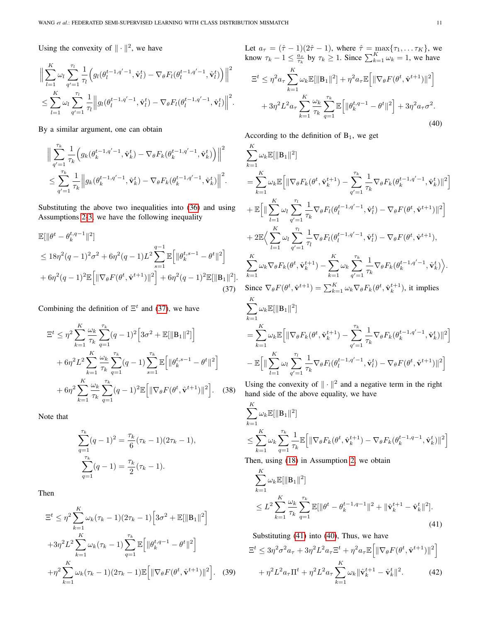Using the convexity of  $\|\cdot\|^2$ , we have

$$
\Big\| \sum_{l=1}^{K} \omega_l \sum_{q'=1}^{\tau_l} \frac{1}{\tau_l} \Big( g_l(\theta_l^{t-1,q'-1}, \hat{\mathbf{v}}_l^t) - \nabla_{\theta} F_l(\theta_l^{t-1,q'-1}, \hat{\mathbf{v}}_l^t) \Big) \Big\|^2 \leq \sum_{l=1}^{K} \omega_l \sum_{q'=1}^{\tau_l} \frac{1}{\tau_l} \Big\| g_l(\theta_l^{t-1,q'-1}, \hat{\mathbf{v}}_l^t) - \nabla_{\theta} F_l(\theta_l^{t-1,q'-1}, \hat{\mathbf{v}}_l^t) \Big\|^2.
$$

By a similar argument, one can obtain

$$
\Big\| \sum_{q'=1}^{\tau_k} \frac{1}{\tau_k} \Big( g_k(\theta_k^{t-1,q'-1}, \hat{\mathbf{v}}_k^t) - \nabla_{\theta} F_k(\theta_k^{t-1,q'-1}, \hat{\mathbf{v}}_k^t) \Big) \Big\|^2
$$
  

$$
\leq \sum_{q'=1}^{\tau_k} \frac{1}{\tau_k} \Big\| g_k(\theta_k^{t-1,q'-1}, \hat{\mathbf{v}}_k^t) - \nabla_{\theta} F_k(\theta_k^{t-1,q'-1}, \hat{\mathbf{v}}_k^t) \Big\|^2.
$$

Substituting the above two inequalities into [\(36\)](#page-9-4) and using Assumptions [2](#page-4-9)[-3,](#page-5-1) we have the following inequality

$$
\mathbb{E}[\|\theta^t - \theta_k^{t,q-1}\|^2]
$$
\n
$$
\leq 18\eta^2(q-1)^2\sigma^2 + 6\eta^2(q-1)L^2 \sum_{s=1}^{q-1} \mathbb{E}\left[\|\theta_k^{t,s-1} - \theta^t\|^2\right]
$$
\n
$$
+ 6\eta^2(q-1)^2 \mathbb{E}\left[\|\nabla_\theta F(\theta^t, \hat{\mathbf{v}}^{t+1})\|^2\right] + 6\eta^2(q-1)^2 \mathbb{E}[\|\mathbf{B}_1\|^2].
$$
\n(37)

Combining the definition of  $\Xi^t$  and [\(37\)](#page-10-0), we have

$$
\Xi^{t} \leq \eta^{2} \sum_{k=1}^{K} \frac{\omega_{k}}{\tau_{k}} \sum_{q=1}^{\tau_{k}} (q-1)^{2} \left[ 3\sigma^{2} + \mathbb{E}[\|\mathbf{B}_{1}\|^{2}] \right]
$$
  
+  $6\eta^{2} L^{2} \sum_{k=1}^{K} \frac{\omega_{k}}{\tau_{k}} \sum_{q=1}^{\tau_{k}} (q-1) \sum_{s=1}^{\tau_{k}} \mathbb{E} \left[ \|\theta_{k}^{t,s-1} - \theta^{t}\|^{2} \right]$   
+  $6\eta^{2} \sum_{k=1}^{K} \frac{\omega_{k}}{\tau_{k}} \sum_{q=1}^{\tau_{k}} (q-1)^{2} \mathbb{E} \left[ \|\nabla_{\theta} F(\theta^{t}, \hat{\mathbf{v}}^{t+1})\|^{2} \right].$  (38)

Note that

$$
\sum_{q=1}^{\tau_k} (q-1)^2 = \frac{\tau_k}{6} (\tau_k - 1)(2\tau_k - 1),
$$
  

$$
\sum_{q=1}^{\tau_k} (q-1) = \frac{\tau_k}{2} (\tau_k - 1).
$$

Then

$$
\Xi^{t} \leq \eta^{2} \sum_{k=1}^{K} \omega_{k} (\tau_{k} - 1)(2\tau_{k} - 1) \left[ 3\sigma^{2} + \mathbb{E}[\|\mathbf{B}_{1}\|^{2}] \right]
$$
  
+  $3\eta^{2} L^{2} \sum_{k=1}^{K} \omega_{k} (\tau_{k} - 1) \sum_{q=1}^{\tau_{k}} \mathbb{E} \left[ \|\theta_{k}^{t,q-1} - \theta^{t}\|^{2} \right]$   
+  $\eta^{2} \sum_{k=1}^{K} \omega_{k} (\tau_{k} - 1)(2\tau_{k} - 1) \mathbb{E} \left[ \|\nabla_{\theta} F(\theta^{t}, \hat{\mathbf{v}}^{t+1})\|^{2} \right].$  (39)

Let  $a_{\tau} = (\hat{\tau} - 1)(2\hat{\tau} - 1)$ , where  $\hat{\tau} = \max{\{\tau_1, \dots, \tau_K\}}$ , we know  $\tau_k - 1 \le \frac{a_\tau}{\tau_k}$  by  $\tau_k \ge 1$ . Since  $\sum_{k=1}^K \omega_k = 1$ , we have

<span id="page-10-2"></span>
$$
\Xi^{t} \leq \eta^{2} a_{\tau} \sum_{k=1}^{K} \omega_{k} \mathbb{E}[\|\mathbf{B}_{1}\|^{2}] + \eta^{2} a_{\tau} \mathbb{E}\Big[\|\nabla_{\theta} F(\theta^{t}, \hat{\mathbf{v}}^{t+1})\|^{2}\Big] + 3\eta^{2} L^{2} a_{\tau} \sum_{k=1}^{K} \frac{\omega_{k}}{\tau_{k}} \sum_{q=1}^{T_{k}} \mathbb{E}\Big[\|\theta_{k}^{t,q-1} - \theta^{t}\|^{2}\Big] + 3\eta^{2} a_{\tau} \sigma^{2}.
$$
\n(40)

According to the definition of  $B_1$ , we get

$$
\sum_{k=1}^{K} \omega_{k} \mathbb{E}[\|\mathbf{B}_{1}\|^{2}] \n= \sum_{k=1}^{K} \omega_{k} \mathbb{E} [\|\nabla_{\theta} F_{k}(\theta^{t}, \hat{\mathbf{v}}_{k}^{t+1}) - \sum_{q'=1}^{\tau_{k}} \frac{1}{\tau_{k}} \nabla_{\theta} F_{k}(\theta_{k}^{t-1,q'-1}, \hat{\mathbf{v}}_{k}^{t})\|^{2}] \n+ \mathbb{E} \Big[\|\sum_{l=1}^{K} \omega_{l} \sum_{q'=1}^{\tau_{l}} \frac{1}{\tau_{k}} \nabla_{\theta} F_{l}(\theta_{l}^{t-1,q'-1}, \hat{\mathbf{v}}_{l}^{t}) - \nabla_{\theta} F(\theta^{t}, \hat{\mathbf{v}}^{t+1})\|^{2}\Big] \n+ 2 \mathbb{E} \Big\langle \sum_{l=1}^{K} \omega_{l} \sum_{q'=1}^{\tau_{l}} \frac{1}{\tau_{l}} \nabla_{\theta} F_{l}(\theta_{l}^{t-1,q'-1}, \hat{\mathbf{v}}_{l}^{t}) - \nabla_{\theta} F(\theta^{t}, \hat{\mathbf{v}}^{t+1}), \n\sum_{k=1}^{K} \omega_{k} \nabla_{\theta} F_{k}(\theta^{t}, \hat{\mathbf{v}}_{k}^{t+1}) - \sum_{k=1}^{K} \omega_{k} \sum_{q'=1}^{\tau_{k}} \frac{1}{\tau_{k}} \nabla_{\theta} F_{k}(\theta_{k}^{t-1,q'-1}, \hat{\mathbf{v}}_{k}^{t})\Big\rangle.
$$
\nSince  $\nabla_{\theta} F(\theta^{t}, \hat{\mathbf{v}}^{t+1}) = \sum_{k=1}^{K} \omega_{k} \nabla_{\theta} F_{k}(\theta^{t}, \hat{\mathbf{v}}_{k}^{t+1}),$  it implies\n
$$
\sum_{k=1}^{K} \omega_{k} \mathbb{E} [\|\mathbf{B}_{1}\|^{2}]
$$
\n
$$
= \sum_{k=1}^{K} \omega_{k} \mathbb{E} [\|\nabla_{\theta} F_{k}(\theta^{t}, \hat{\mathbf{v}}_{k}^{t+1}) - \sum_{q'=1}^{\tau_{k}} \frac{1}{\tau_{
$$

<span id="page-10-0"></span>Using the convexity of  $\|\cdot\|^2$  and a negative term in the right hand side of the above equality, we have

$$
\sum_{k=1}^{K} \omega_k \mathbb{E}[\|\mathbf{B}_1\|^2]
$$
\n
$$
\leq \sum_{k=1}^{K} \omega_k \sum_{q=1}^{\tau_k} \frac{1}{\tau_k} \mathbb{E} \Big[ \|\nabla_{\theta} F_k(\theta^t, \hat{\mathbf{v}}_k^{t+1}) - \nabla_{\theta} F_k(\theta_k^{t-1, q-1}, \hat{\mathbf{v}}_k^t) \|^2 \Big]
$$

Then, using [\(18\)](#page-4-11) in Assumption [2,](#page-4-9) we obtain

$$
\sum_{k=1}^{K} \omega_k \mathbb{E}[\|\mathbf{B}_1\|^2]
$$
\n
$$
\leq L^2 \sum_{k=1}^{K} \frac{\omega_k}{\tau_k} \sum_{q=1}^{\tau_k} \mathbb{E}[\|\theta^t - \theta_k^{t-1,q-1}\|^2 + \|\hat{\mathbf{v}}_k^{t+1} - \hat{\mathbf{v}}_k^t\|^2].
$$
\n(41)

<span id="page-10-1"></span>Substituting [\(41\)](#page-10-1) into [\(40\)](#page-10-2), Thus, we have

$$
\Xi^{t} \leq 3\eta^{2}\sigma^{2}a_{\tau} + 3\eta^{2}L^{2}a_{\tau}\Xi^{t} + \eta^{2}a_{\tau}\mathbb{E}\Big[\|\nabla_{\theta}F(\theta^{t}, \hat{\mathbf{v}}^{t+1})\|^{2}\Big] \n+ \eta^{2}L^{2}a_{\tau}\Pi^{t} + \eta^{2}L^{2}a_{\tau}\sum_{k=1}^{K}\omega_{k}\|\hat{\mathbf{v}}_{k}^{t+1} - \hat{\mathbf{v}}_{k}^{t}\|^{2}.
$$
\n(42)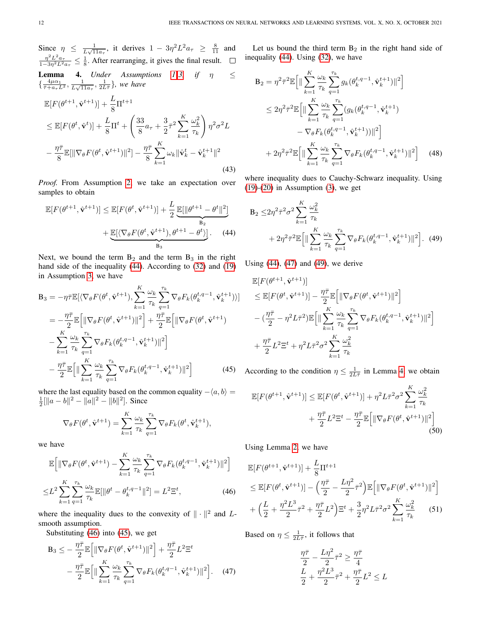Since  $\eta \leq \frac{1}{L\sqrt{11a_{\tau}}},$  it derives  $1 - 3\eta^2 L^2 a_{\tau} \geq \frac{8}{11}$  and  $\frac{\eta^2 L^2 a_{\tau}}{1 - 3\eta^2 L^2 a_{\tau}} \leq \frac{1}{8}$ . After rearranging, it gives the final result.

<span id="page-11-5"></span>**Lemma 4.** *Under* Assumptions [1-](#page-4-10)[3,](#page-5-1) if  $\eta \leq$  $\{\frac{4\mu\alpha_1}{\bar{\tau}+a_{\tau}L^2}, \frac{1}{L\sqrt{11a_{\tau}}}, \frac{1}{2L\bar{\tau}}\},$  we have

$$
\mathbb{E}[F(\theta^{t+1}, \hat{\mathbf{v}}^{t+1})] + \frac{L}{8}\Pi^{t+1}
$$
\n
$$
\leq \mathbb{E}[F(\theta^t, \hat{\mathbf{v}}^t)] + \frac{L}{8}\Pi^t + \left(\frac{33}{8}a_\tau + \frac{3}{2}\bar{\tau}^2 \sum_{k=1}^K \frac{\omega_k^2}{\tau_k}\right)\eta^2\sigma^2 L
$$
\n
$$
-\frac{\eta\bar{\tau}}{8}\mathbb{E}[\|\nabla_\theta F(\theta^t, \hat{\mathbf{v}}^{t+1})\|^2] - \frac{\eta\bar{\tau}}{8}\sum_{k=1}^K \omega_k \|\hat{\mathbf{v}}_k^t - \hat{\mathbf{v}}_k^{t+1}\|^2
$$
\n(43)

*Proof.* From Assumption [2,](#page-4-9) we take an expectation over samples to obtain

$$
\mathbb{E}[F(\theta^{t+1}, \hat{\mathbf{v}}^{t+1})] \leq \mathbb{E}[F(\theta^t, \hat{\mathbf{v}}^{t+1})] + \frac{L}{2} \underbrace{\mathbb{E}[\|\theta^{t+1} - \theta^t\|^2]}_{\mathbf{B}_2} + \underbrace{\mathbb{E}[\langle \nabla_{\theta} F(\theta^t, \hat{\mathbf{v}}^{t+1}), \theta^{t+1} - \theta^t \rangle]}_{\mathbf{B}_3}.
$$
 (44)

Next, we bound the term  $B_2$  and the term  $B_3$  in the right hand side of the inequality [\(44\)](#page-11-0). According to [\(32\)](#page-9-1) and [\(19\)](#page-5-6) in Assumption [3,](#page-5-1) we have

$$
B_3 = -\eta \bar{\tau} \mathbb{E}[\langle \nabla_{\theta} F(\theta^t, \hat{\mathbf{v}}^{t+1}), \sum_{k=1}^K \frac{\omega_k}{\tau_k} \sum_{q=1}^{\tau_k} \nabla_{\theta} F_k(\theta_k^{t,q-1}, \hat{\mathbf{v}}_k^{t+1}) \rangle] = -\frac{\eta \bar{\tau}}{2} \mathbb{E} \Big[ \|\nabla_{\theta} F(\theta^t, \hat{\mathbf{v}}^{t+1})\|^2 \Big] + \frac{\eta \bar{\tau}}{2} \mathbb{E} \Big[ \|\nabla_{\theta} F(\theta^t, \hat{\mathbf{v}}^{t+1}) \Big. - \sum_{k=1}^K \frac{\omega_k}{\tau_k} \sum_{q=1}^{\tau_k} \nabla_{\theta} F_k(\theta_k^{t,q-1}, \hat{\mathbf{v}}_k^{t+1}) \|^2 \Big] - \frac{\eta \bar{\tau}}{2} \mathbb{E} \Big[ \|\sum_{k=1}^K \frac{\omega_k}{\tau_k} \sum_{q=1}^{\tau_k} \nabla_{\theta} F_k(\theta_k^{t,q-1}, \hat{\mathbf{v}}_k^{t+1}) \|^2 \Big] \qquad (45)
$$

where the last equality based on the common equality  $-\langle a, b \rangle =$  $\frac{1}{2}[\|a-b\|^2 - \|a\|^2 - \|b\|^2]$ . Since

$$
\nabla_{\theta} F(\theta^t, \hat{\mathbf{v}}^{t+1}) = \sum_{k=1}^K \frac{\omega_k}{\tau_k} \sum_{q=1}^{\tau_k} \nabla_{\theta} F_k(\theta^t, \hat{\mathbf{v}}_k^{t+1}),
$$

we have

$$
\mathbb{E}\Big[\|\nabla_{\theta}F(\theta^t, \hat{\mathbf{v}}^{t+1}) - \sum_{k=1}^K \frac{\omega_k}{\tau_k} \sum_{q=1}^{\tau_k} \nabla_{\theta}F_k(\theta_k^{t,q-1}, \hat{\mathbf{v}}_k^{t+1})\|^2\Big]
$$
  

$$
\leq L^2 \sum_{k=1}^K \sum_{q=1}^{\tau_k} \frac{\omega_k}{\tau_k} \mathbb{E}[\|\theta^t - \theta_k^{t,q-1}\|^2] = L^2 \Xi^t,
$$
 (46)

where the inequality dues to the convexity of  $\|\cdot\|^2$  and Lsmooth assumption.

Substituting [\(46\)](#page-11-1) into [\(45\)](#page-11-2), we get

$$
\mathbf{B}_3 \leq -\frac{\eta \bar{\tau}}{2} \mathbb{E} \Big[ \|\nabla_{\theta} F(\theta^t, \hat{\mathbf{v}}^{t+1})\|^2 \Big] + \frac{\eta \bar{\tau}}{2} L^2 \Xi^t -\frac{\eta \bar{\tau}}{2} \mathbb{E} \Big[ \|\sum_{k=1}^K \frac{\omega_k}{\tau_k} \sum_{q=1}^{\tau_k} \nabla_{\theta} F_k(\theta_k^{t,q-1}, \hat{\mathbf{v}}_k^{t+1})\|^2 \Big].
$$
 (47)

Let us bound the third term  $B_2$  in the right hand side of inequality [\(44\)](#page-11-0). Using [\(32\)](#page-9-1), we have

$$
B_2 = \eta^2 \bar{\tau}^2 \mathbb{E} \Big[ \| \sum_{k=1}^K \frac{\omega_k}{\tau_k} \sum_{q=1}^{\tau_k} g_k(\theta_k^{t,q-1}, \hat{\mathbf{v}}_k^{t+1}) \|^2 \Big] \n\leq 2\eta^2 \bar{\tau}^2 \mathbb{E} \Big[ \| \sum_{k=1}^K \frac{\omega_k}{\tau_k} \sum_{q=1}^{\tau_k} (g_k(\theta_k^{t,q-1}, \hat{\mathbf{v}}_k^{t+1}) \n- \nabla_{\theta} F_k(\theta_k^{t,q-1}, \hat{\mathbf{v}}_k^{t+1}) ) \|^2 \Big] \n+ 2\eta^2 \bar{\tau}^2 \mathbb{E} \Big[ \| \sum_{k=1}^K \frac{\omega_k}{\tau_k} \sum_{q=1}^{\tau_k} \nabla_{\theta} F_k(\theta_k^{t,q-1}, \hat{\mathbf{v}}_k^{t+1}) \|^2 \Big] \tag{48}
$$

<span id="page-11-7"></span>where inequality dues to Cauchy-Schwarz inequality. Using  $(19)-(20)$  $(19)-(20)$  $(19)-(20)$  in Assumption  $(3)$ , we get

<span id="page-11-4"></span><span id="page-11-0"></span>
$$
B_2 \le 2\eta^2 \bar{\tau}^2 \sigma^2 \sum_{k=1}^K \frac{\omega_k^2}{\tau_k} + 2\eta^2 \bar{\tau}^2 \mathbb{E} \Big[ \| \sum_{k=1}^K \frac{\omega_k}{\tau_k} \sum_{q=1}^{\tau_k} \nabla_{\theta} F_k(\theta_k^{t,q-1}, \hat{\mathbf{v}}_k^{t+1}) \|^2 \Big]. \tag{49}
$$

Using [\(44\)](#page-11-0), [\(47\)](#page-11-3) and [\(49\)](#page-11-4), we derive

$$
\mathbb{E}[F(\theta^{t+1}, \hat{\mathbf{v}}^{t+1})]
$$
\n
$$
\leq \mathbb{E}[F(\theta^t, \hat{\mathbf{v}}^{t+1})] - \frac{\eta \bar{\tau}}{2} \mathbb{E}\Big[\|\nabla_{\theta} F(\theta^t, \hat{\mathbf{v}}^{t+1})\|^2\Big]
$$
\n
$$
-(\frac{\eta \bar{\tau}}{2} - \eta^2 L \bar{\tau}^2) \mathbb{E}\Big[\|\sum_{k=1}^K \frac{\omega_k}{\tau_k} \sum_{q=1}^{\tau_k} \nabla_{\theta} F_k(\theta_k^{t, q-1}, \hat{\mathbf{v}}_k^{t+1})\|^2\Big]
$$
\n
$$
+\frac{\eta \bar{\tau}}{2} L^2 \Xi^t + \eta^2 L \bar{\tau}^2 \sigma^2 \sum_{k=1}^K \frac{\omega_k^2}{\tau_k}
$$

<span id="page-11-2"></span>According to the condition  $\eta \leq \frac{1}{2L\bar{\tau}}$  in Lemma [4,](#page-11-5) we obtain

$$
\mathbb{E}[F(\theta^{t+1}, \hat{\mathbf{v}}^{t+1})] \leq \mathbb{E}[F(\theta^t, \hat{\mathbf{v}}^{t+1})] + \eta^2 L \bar{\tau}^2 \sigma^2 \sum_{k=1}^K \frac{\omega_k^2}{\tau_k} + \frac{\eta \bar{\tau}}{2} L^2 \Xi^t - \frac{\eta \bar{\tau}}{2} \mathbb{E}\Big[\|\nabla_{\theta} F(\theta^t, \hat{\mathbf{v}}^{t+1})\|^2\Big] \tag{50}
$$

Using Lemma [2,](#page-9-5) we have

<span id="page-11-1"></span>
$$
\mathbb{E}[F(\theta^{t+1}, \hat{\mathbf{v}}^{t+1})] + \frac{L}{8}\Pi^{t+1}
$$
\n
$$
\leq \mathbb{E}[F(\theta^t, \hat{\mathbf{v}}^{t+1})] - \left(\frac{\eta\bar{\tau}}{2} - \frac{L\eta^2}{2}\bar{\tau}^2\right)\mathbb{E}\left[\|\nabla_{\theta}F(\theta^t, \hat{\mathbf{v}}^{t+1})\|^2\right]
$$
\n
$$
+ \left(\frac{L}{2} + \frac{\eta^2 L^3}{2}\bar{\tau}^2 + \frac{\eta\bar{\tau}}{2}L^2\right)\Xi^t + \frac{3}{2}\eta^2 L\bar{\tau}^2\sigma^2 \sum_{k=1}^K \frac{\omega_k^2}{\tau_k} \tag{51}
$$

<span id="page-11-3"></span>Based on  $\eta \leq \frac{1}{2L\overline{\tau}}$ , it follows that

<span id="page-11-6"></span>
$$
\frac{\eta \bar{\tau}}{2} - \frac{L\eta^2}{2} \bar{\tau}^2 \ge \frac{\eta \bar{\tau}}{4}
$$

$$
\frac{L}{2} + \frac{\eta^2 L^3}{2} \bar{\tau}^2 + \frac{\eta \bar{\tau}}{2} L^2 \le L
$$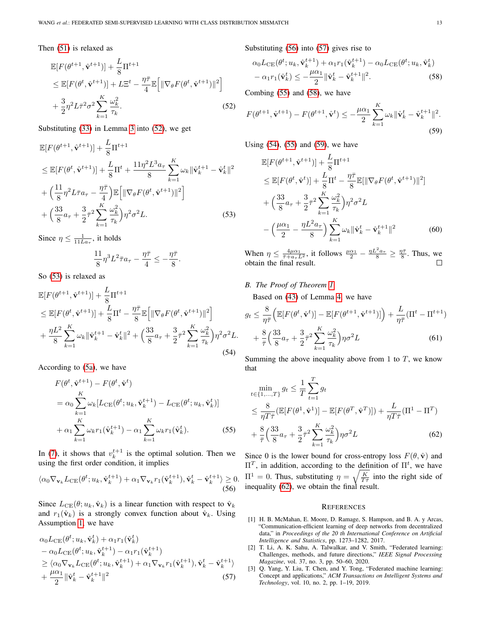Then [\(51\)](#page-11-6) is relaxed as

$$
\mathbb{E}[F(\theta^{t+1}, \hat{\mathbf{v}}^{t+1})] + \frac{L}{8}\Pi^{t+1} \n\leq \mathbb{E}[F(\theta^t, \hat{\mathbf{v}}^{t+1})] + L\Xi^t - \frac{\eta\bar{\tau}}{4}\mathbb{E}\Big[\|\nabla_{\theta}F(\theta^t, \hat{\mathbf{v}}^{t+1})\|^2\Big] \n+ \frac{3}{2}\eta^2 L\bar{\tau}^2 \sigma^2 \sum_{k=1}^K \frac{\omega_k^2}{\tau_k}.
$$
\n(52)

Substituting [\(33\)](#page-9-6) in Lemma [3](#page-9-7) into [\(52\)](#page-12-2), we get

$$
\mathbb{E}[F(\theta^{t+1}, \hat{\mathbf{v}}^{t+1})] + \frac{L}{8}\Pi^{t+1} \n\leq \mathbb{E}[F(\theta^t, \hat{\mathbf{v}}^{t+1})] + \frac{L}{8}\Pi^t + \frac{11\eta^2 L^3 a_\tau}{8} \sum_{k=1}^K \omega_k \|\hat{\mathbf{v}}_k^{t+1} - \hat{\mathbf{v}}_k^t\|^2 \n+ \left(\frac{11}{8}\eta^2 L\bar{\tau} a_\tau - \frac{\eta \bar{\tau}}{4}\right) \mathbb{E}\Big[\|\nabla_\theta F(\theta^t, \hat{\mathbf{v}}^{t+1})\|^2\Big] \n+ \left(\frac{33}{8}a_\tau + \frac{3}{2}\bar{\tau}^2 \sum_{k=1}^K \frac{\omega_k^2}{\tau_k}\right) \eta^2 \sigma^2 L.
$$
\n(53)

Since  $\eta \leq \frac{1}{11La_{\tau}}$ , it holds

$$
\frac{11}{8}\eta^3 L^2 \bar{\tau} a_{\tau} - \frac{\eta \bar{\tau}}{4} \le -\frac{\eta \bar{\tau}}{8}.
$$

So [\(53\)](#page-12-3) is relaxed as

$$
\mathbb{E}[F(\theta^{t+1}, \hat{\mathbf{v}}^{t+1})] + \frac{L}{8}\Pi^{t+1} \n\leq \mathbb{E}[F(\theta^t, \hat{\mathbf{v}}^{t+1})] + \frac{L}{8}\Pi^t - \frac{\eta \bar{\tau}}{8} \mathbb{E}\Big[\|\nabla_{\theta} F(\theta^t, \hat{\mathbf{v}}^{t+1})\|^2\Big] \n+ \frac{\eta L^2}{8} \sum_{k=1}^K \omega_k \|\hat{\mathbf{v}}_k^{t+1} - \hat{\mathbf{v}}_k^t\|^2 + \left(\frac{33}{8}a_{\tau} + \frac{3}{2}\bar{\tau}^2 \sum_{k=1}^K \frac{\omega_k^2}{\tau_k}\right) \eta^2 \sigma^2 L.
$$
\n(54)

According to [\(5a\)](#page-2-0), we have

$$
F(\theta^t, \hat{\mathbf{v}}^{t+1}) - F(\theta^t, \hat{\mathbf{v}}^t)
$$
  
=  $\alpha_0 \sum_{k=1}^K \omega_k [L_{\text{CE}}(\theta^t; u_k, \hat{\mathbf{v}}_k^{t+1}) - L_{\text{CE}}(\theta^t; u_k, \hat{\mathbf{v}}_k^t)]$   
+  $\alpha_1 \sum_{k=1}^K \omega_k r_1 (\hat{\mathbf{v}}_k^{t+1}) - \alpha_1 \sum_{k=1}^K \omega_k r_1 (\hat{\mathbf{v}}_k^t).$  (55)

In [\(7\)](#page-3-3), it shows that  $v_k^{t+1}$  is the optimal solution. Then we using the first order condition, it implies

$$
\langle \alpha_0 \nabla_{\mathbf{v}_k} L_{\text{CE}}(\theta^t; u_k, \hat{\mathbf{v}}_k^{t+1}) + \alpha_1 \nabla_{\mathbf{v}_k} r_1(\hat{\mathbf{v}}_k^{t+1}), \hat{\mathbf{v}}_k^t - \hat{\mathbf{v}}_k^{t+1} \rangle \ge 0.
$$
\n(56)

Since  $L_{\text{CE}}(\theta; u_k, \hat{v}_k)$  is a linear function with respect to  $\hat{v}_k$ and  $r_1(\hat{\mathbf{v}}_k)$  is a strongly convex function about  $\hat{\mathbf{v}}_k$ . Using Assumption [1,](#page-4-10) we have

$$
\alpha_0 L_{\text{CE}}(\theta^t; u_k, \hat{\mathbf{v}}_k^t) + \alpha_1 r_1(\hat{\mathbf{v}}_k^t) \n- \alpha_0 L_{\text{CE}}(\theta^t; u_k, \hat{\mathbf{v}}_k^{t+1}) - \alpha_1 r_1(\hat{\mathbf{v}}_k^{t+1}) \n\geq \langle \alpha_0 \nabla_{\mathbf{v}_k} L_{\text{CE}}(\theta^t; u_k, \hat{\mathbf{v}}_k^{t+1}) + \alpha_1 \nabla_{\mathbf{v}_k} r_1(\hat{\mathbf{v}}_k^{t+1}), \hat{\mathbf{v}}_k^t - \hat{\mathbf{v}}_k^{t+1} \rangle \n+ \frac{\mu \alpha_1}{2} \|\hat{\mathbf{v}}_k^t - \hat{\mathbf{v}}_k^{t+1}\|^2
$$
\n(57)

Substituting [\(56\)](#page-12-4) into [\(57\)](#page-12-5) gives rise to

<span id="page-12-7"></span>
$$
\alpha_0 L_{\text{CE}}(\theta^t; u_k, \hat{\mathbf{v}}_k^{t+1}) + \alpha_1 r_1(\hat{\mathbf{v}}_k^{t+1}) - \alpha_0 L_{\text{CE}}(\theta^t; u_k, \hat{\mathbf{v}}_k^t) \n- \alpha_1 r_1(\hat{\mathbf{v}}_k^t) \le -\frac{\mu \alpha_1}{2} \|\hat{\mathbf{v}}_k^t - \hat{\mathbf{v}}_k^{t+1}\|^2.
$$
\n(58)

<span id="page-12-2"></span>Combing [\(55\)](#page-12-6) and [\(58\)](#page-12-7), we have

$$
F(\theta^{t+1}, \hat{\mathbf{v}}^{t+1}) - F(\theta^{t+1}, \hat{\mathbf{v}}^t) \le -\frac{\mu \alpha_1}{2} \sum_{k=1}^K \omega_k \|\hat{\mathbf{v}}_k^t - \hat{\mathbf{v}}_k^{t+1}\|^2.
$$
\n(59)

Using [\(54\)](#page-12-8), [\(55\)](#page-12-6) and [\(59\)](#page-12-9), we have

<span id="page-12-9"></span>
$$
\mathbb{E}[F(\theta^{t+1}, \hat{\mathbf{v}}^{t+1})] + \frac{L}{8}\Pi^{t+1} \n\leq \mathbb{E}[F(\theta^t, \hat{\mathbf{v}}^t)] + \frac{L}{8}\Pi^t - \frac{\eta \bar{\tau}}{8}\mathbb{E}[\|\nabla_{\theta}F(\theta^t, \hat{\mathbf{v}}^{t+1})\|^2] \n+ \left(\frac{33}{8}a_{\tau} + \frac{3}{2}\bar{\tau}^2 \sum_{k=1}^K \frac{\omega_k^2}{\tau_k}\right)\eta^2 \sigma^2 L \n- \left(\frac{\mu\alpha_1}{2} - \frac{\eta L^2 a_{\tau}}{8}\right) \sum_{k=1}^K \omega_k \|\hat{\mathbf{v}}_k^t - \hat{\mathbf{v}}_k^{t+1}\|^2
$$
\n(60)

<span id="page-12-3"></span>When  $\eta \leq \frac{4\mu\alpha_1}{\bar{\tau}+a_{\tau}L^2}$ , it follows  $\frac{\mu\alpha_1}{2} - \frac{\eta L^2 a_{\tau}}{8} \geq \frac{\eta\bar{\tau}}{8}$ . Thus, we obtain the final result.

#### *B. The Proof of Theorem [1](#page-5-2)*

Based on [\(43\)](#page-11-7) of Lemma [4,](#page-11-5) we have

$$
g_t \leq \frac{8}{\eta \overline{\tau}} \left( \mathbb{E}[F(\theta^t, \hat{\mathbf{v}}^t)] - \mathbb{E}[F(\theta^{t+1}, \hat{\mathbf{v}}^{t+1})] \right) + \frac{L}{\eta \overline{\tau}} (\Pi^t - \Pi^{t+1})
$$

$$
+ \frac{8}{\overline{\tau}} \left( \frac{33}{8} a_\tau + \frac{3}{2} \overline{\tau}^2 \sum_{k=1}^K \frac{\omega_k^2}{\tau_k} \right) \eta \sigma^2 L
$$
(61)

<span id="page-12-8"></span>Summing the above inequality above from 1 to  $T$ , we know that

$$
\min_{t \in \{1, \dots, T\}} g_t \le \frac{1}{T} \sum_{t=1}^T g_t
$$
\n
$$
\le \frac{8}{\eta T \bar{\tau}} (\mathbb{E}[F(\theta^1, \hat{\mathbf{v}}^1)] - \mathbb{E}[F(\theta^T, \hat{\mathbf{v}}^T)]) + \frac{L}{\eta T \bar{\tau}} (\Pi^1 - \Pi^T)
$$
\n
$$
+ \frac{8}{\bar{\tau}} \Big( \frac{33}{8} a_{\tau} + \frac{3}{2} \bar{\tau}^2 \sum_{k=1}^K \frac{\omega_k^2}{\tau_k} \Big) \eta \sigma^2 L
$$
\n(62)

<span id="page-12-6"></span><span id="page-12-4"></span>Since 0 is the lower bound for cross-entropy loss  $F(\theta, \hat{v})$  and  $\Pi^T$ , in addition, according to the definition of  $\Pi^t$ , we have  $\Pi^1 = 0$ . Thus, substituting  $\eta = \sqrt{\frac{K}{T^2}}$  into the right side of inequality [\(62\)](#page-12-10), we obtain the final result.

#### <span id="page-12-10"></span>**REFERENCES**

- <span id="page-12-0"></span>[1] H. B. McMahan, E. Moore, D. Ramage, S. Hampson, and B. A. y Arcas, "Communication-efficient learning of deep networks from decentralized data," in *Proceedings of the 20 th International Conference on Artificial Intelligence and Statistics*, pp. 1273–1282, 2017.
- [2] T. Li, A. K. Sahu, A. Talwalkar, and V. Smith, "Federated learning: Challenges, methods, and future directions," *IEEE Signal Processing Magazine*, vol. 37, no. 3, pp. 50–60, 2020.
- <span id="page-12-5"></span><span id="page-12-1"></span>[3] Q. Yang, Y. Liu, T. Chen, and Y. Tong, "Federated machine learning: Concept and applications," *ACM Transactions on Intelligent Systems and Technology*, vol. 10, no. 2, pp. 1–19, 2019.